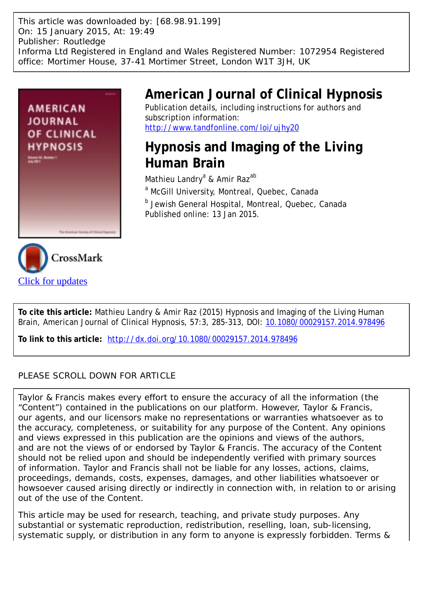This article was downloaded by: [68.98.91.199] On: 15 January 2015, At: 19:49 Publisher: Routledge Informa Ltd Registered in England and Wales Registered Number: 1072954 Registered office: Mortimer House, 37-41 Mortimer Street, London W1T 3JH, UK



[Click for updates](http://crossmark.crossref.org/dialog/?doi=10.1080/00029157.2014.978496&domain=pdf&date_stamp=2015-01-13)

# **American Journal of Clinical Hypnosis**

Publication details, including instructions for authors and subscription information: <http://www.tandfonline.com/loi/ujhy20>

# **Hypnosis and Imaging of the Living Human Brain**

Mathieu Landry<sup>a</sup> & Amir Raz<sup>ab</sup>

<sup>a</sup> McGill University, Montreal, Quebec, Canada

<sup>b</sup> Jewish General Hospital, Montreal, Quebec, Canada Published online: 13 Jan 2015.



**To link to this article:** <http://dx.doi.org/10.1080/00029157.2014.978496>

### PLEASE SCROLL DOWN FOR ARTICLE

Taylor & Francis makes every effort to ensure the accuracy of all the information (the "Content") contained in the publications on our platform. However, Taylor & Francis, our agents, and our licensors make no representations or warranties whatsoever as to the accuracy, completeness, or suitability for any purpose of the Content. Any opinions and views expressed in this publication are the opinions and views of the authors, and are not the views of or endorsed by Taylor & Francis. The accuracy of the Content should not be relied upon and should be independently verified with primary sources of information. Taylor and Francis shall not be liable for any losses, actions, claims, proceedings, demands, costs, expenses, damages, and other liabilities whatsoever or howsoever caused arising directly or indirectly in connection with, in relation to or arising out of the use of the Content.

This article may be used for research, teaching, and private study purposes. Any substantial or systematic reproduction, redistribution, reselling, loan, sub-licensing, systematic supply, or distribution in any form to anyone is expressly forbidden. Terms &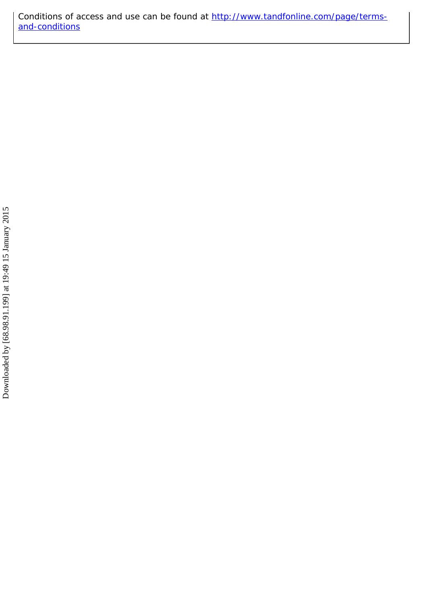Conditions of access and use can be found at [http://www.tandfonline.com/page/terms](http://www.tandfonline.com/page/terms-and-conditions)[and-conditions](http://www.tandfonline.com/page/terms-and-conditions)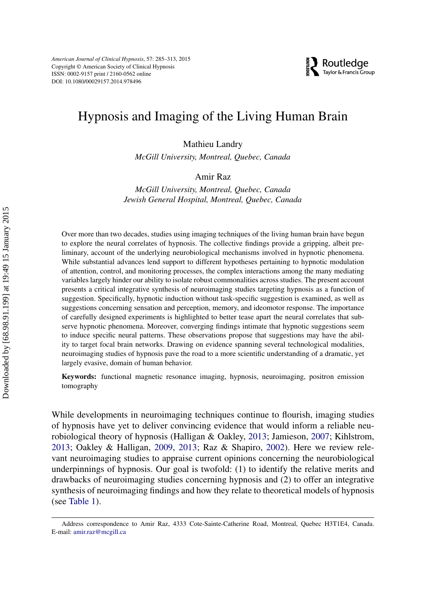### Hypnosis and Imaging of the Living Human Brain

Mathieu Landry

*McGill University, Montreal, Quebec, Canada*

#### Amir Raz

*McGill University, Montreal, Quebec, Canada Jewish General Hospital, Montreal, Quebec, Canada*

Over more than two decades, studies using imaging techniques of the living human brain have begun to explore the neural correlates of hypnosis. The collective findings provide a gripping, albeit preliminary, account of the underlying neurobiological mechanisms involved in hypnotic phenomena. While substantial advances lend support to different hypotheses pertaining to hypnotic modulation of attention, control, and monitoring processes, the complex interactions among the many mediating variables largely hinder our ability to isolate robust commonalities across studies. The present account presents a critical integrative synthesis of neuroimaging studies targeting hypnosis as a function of suggestion. Specifically, hypnotic induction without task-specific suggestion is examined, as well as suggestions concerning sensation and perception, memory, and ideomotor response. The importance of carefully designed experiments is highlighted to better tease apart the neural correlates that subserve hypnotic phenomena. Moreover, converging findings intimate that hypnotic suggestions seem to induce specific neural patterns. These observations propose that suggestions may have the ability to target focal brain networks. Drawing on evidence spanning several technological modalities, neuroimaging studies of hypnosis pave the road to a more scientific understanding of a dramatic, yet largely evasive, domain of human behavior.

**Keywords:** functional magnetic resonance imaging, hypnosis, neuroimaging, positron emission tomography

While developments in neuroimaging techniques continue to flourish, imaging studies of hypnosis have yet to deliver convincing evidence that would inform a reliable neurobiological theory of hypnosis (Halligan & Oakley, [2013;](#page-25-0) Jamieson, [2007;](#page-25-1) Kihlstrom, [2013;](#page-25-2) Oakley & Halligan, [2009,](#page-28-0) [2013;](#page-28-1) Raz & Shapiro, [2002\)](#page-29-0). Here we review relevant neuroimaging studies to appraise current opinions concerning the neurobiological underpinnings of hypnosis. Our goal is twofold: (1) to identify the relative merits and drawbacks of neuroimaging studies concerning hypnosis and (2) to offer an integrative synthesis of neuroimaging findings and how they relate to theoretical models of hypnosis (see [Table 1\)](#page-3-0).

Address correspondence to Amir Raz, 4333 Cote-Sainte-Catherine Road, Montreal, Quebec H3T1E4, Canada. E-mail: [amir.raz@mcgill.ca](mailto:amir.raz@mcgill.ca)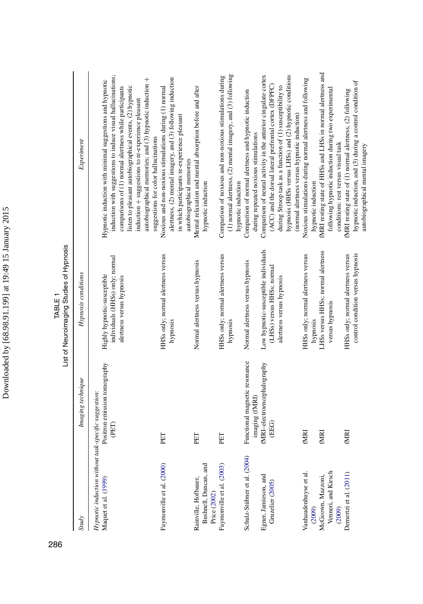<span id="page-3-0"></span>

|                                                                              |                                                 | List of Neuroimaging Studies of Hypnosis<br>TABLE <sub>1</sub>                                  |                                                                                                                                                                                                                                                                                                                                                               |
|------------------------------------------------------------------------------|-------------------------------------------------|-------------------------------------------------------------------------------------------------|---------------------------------------------------------------------------------------------------------------------------------------------------------------------------------------------------------------------------------------------------------------------------------------------------------------------------------------------------------------|
| <b>Study</b>                                                                 | Imaging technique                               | Hypnosis conditions                                                                             | Experiment                                                                                                                                                                                                                                                                                                                                                    |
| Hypnotic induction without task-specific suggestion:<br>Maquet et al. (1999) | Positron emission tomography<br>(PET)           | individuals (HHSs) only; normal<br>Highly hypnotic-susceptible<br>alertness versus hypnosis     | induction with suggestions to induce visual hallucinations;<br>autobiographical memories; and (3) hypnotic induction +<br>Hypnotic induction with minimal suggestions and hypnotic<br>listen to pleasant autobiographical events, (2) hypnotic<br>comparisons of (1) normal alertness while participants<br>induction + suggestions to re-experience pleasant |
| Faymonville et al. (2000)                                                    | PET                                             | HHSs only; normal alertness versus<br>hypnosis                                                  | alertness, (2) mental imagery, and (3) following induction<br>Noxious and non-noxious stimulations during (1) normal<br>in which participants re-experience pleasant<br>suggestions for color hallucinations                                                                                                                                                  |
| Bushnell, Duncan, and<br>Rainville, Hofbauer,<br>Price (2002)                | PET                                             | Normal alertness versus hypnosis                                                                | Mental relaxation and mental absorption before and after<br>autobiographical memories<br>hypnotic induction                                                                                                                                                                                                                                                   |
| Faymonville et al. (2003)                                                    | PET                                             | HHSs only; normal alertness versus<br>hypnosis                                                  | $(1)$ normal alertness, $(2)$ mental imagery, and $(3)$ following<br>Comparison of noxious and non-noxious stimulations during<br>hypnotic induction                                                                                                                                                                                                          |
| Schulz-Stübner et al. (2004)                                                 | Functional magnetic resonance<br>imaging (fMRI) | Normal alertness versus hypnosis                                                                | Comparison of normal alertness and hypnotic induction<br>during repeated noxious stimulations                                                                                                                                                                                                                                                                 |
| Egner, Jamieson, and<br>Gruzelier (2005)                                     | fMRI-electroencephalography<br>(EEG)            | Low hypnotic-susceptible individuals<br>(LHSs) versus HHSs; normal<br>alertness versus hypnosis | Comparison of neural activity in the anterior cingulate cortex<br>hypnosis (HHSs versus LHSs) and (2) hypnotic conditions<br>(ACC) and the dorsal lateral prefrontal cortex (DFPFC)<br>during Stroop task as a function of (1) susceptibility to                                                                                                              |
| Vanhaudenhuyse et al.<br>(2009)                                              | <b>EMRI</b>                                     | HHSs only; normal alertness versus<br>hypnosis                                                  | Noxious stimulations during normal alertness and following<br>(normal alertness versus hypnotic induction)<br>hypnotic induction                                                                                                                                                                                                                              |
| Venneri, and Kirsch<br>McGeown, Mazzoni,<br>(2009)                           | fMRI                                            | LHSs versus HHSs; normal alertness<br>versus hypnosis                                           | fMRI resting state of HHSs and LHSs in normal alertness and<br>following hypnotic induction during two experimental<br>conditions: rest versus visual task                                                                                                                                                                                                    |
| Demertzi et al. (2011)                                                       | <b>EMRI</b>                                     | control condition versus hypnosis<br>HHSs only; normal alertness versus                         | hypnotic induction, and (3) during a control condition of<br>fMRI resting state of (1) normal alertness, (2) following<br>autobiographical mental imagery                                                                                                                                                                                                     |

286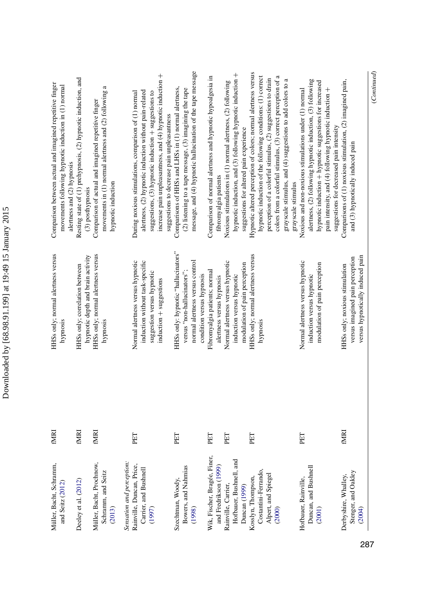| ı                   |
|---------------------|
| ١<br>I              |
| ı                   |
| ŗ<br>ı              |
| i                   |
| ۱                   |
| ۱                   |
| <b>FACTION CONT</b> |
|                     |
|                     |
|                     |
|                     |

| Müller, Bacht, Schramm,<br>and Seitz (2012)                  | <b>EXIRI</b> | HHSs only; normal alertness versus<br>hypnosis                                                    | Comparison between actual and imagined repetitive finger<br>movements following hypnotic induction in (1) normal<br>alertness and (2) hypnosis                              |
|--------------------------------------------------------------|--------------|---------------------------------------------------------------------------------------------------|-----------------------------------------------------------------------------------------------------------------------------------------------------------------------------|
| Deeley et al. (2012)                                         | <b>TAINI</b> | hypnotic depth and brain activity<br>HHSs only; correlation between                               | Resting state of (1) prehypnosis, (2) hypnotic induction, and<br>(3) posthypnosis                                                                                           |
| Müller, Bacht, Prochnow,<br>Schramm, and Seitz<br>(2013)     | <b>ININI</b> | HHSs only; normal alertness versus<br>hypnosis                                                    | movements in $(1)$ normal alertness and $(2)$ following a<br>Comparison of actual and imagined repetitive finger<br>hypnotic induction                                      |
| Sensation and perception:                                    |              |                                                                                                   |                                                                                                                                                                             |
| Rainville, Duncan, Price,<br>Carrier, and Bushnell<br>(1997) | PET          | Normal alertness versus hypnotic<br>induction without task-specific<br>suggestion versus hypnotic | alertness, (2) hypnotic induction without pain-related<br>suggestions, $(3)$ hypnotic induction $+$ suggestions to<br>During noxious stimulations, comparison of (1) normal |
|                                                              |              | induction + suggestions                                                                           | increase pain unpleasantness, and $(4)$ hypnotic induction $+$<br>suggestions to decrease pain unpleasantness                                                               |
| Szechtman, Woody,                                            | PET          | HHSs only: hypnotic "hallucinators"                                                               | Comparisons of HHSs and LHSs in (1) normal alertness,                                                                                                                       |
| Bowers, and Nahmias                                          |              | versus "non-hallucinators";                                                                       | $(2)$ listening to a tape message, $(3)$ imagining the tape                                                                                                                 |
| (1998)                                                       |              | normal alertness versus control                                                                   | message, and (4) hypnotic hallucination of the tape message                                                                                                                 |
|                                                              |              | condition versus hypnosis                                                                         |                                                                                                                                                                             |
| Wik, Fischer, Bragée, Finer,                                 | PET          | Fibromyalgia patients; normal                                                                     | Comparison of normal alertness and hypnotic hypoalgesia in                                                                                                                  |
| and Fredrikson (1999)                                        |              | alertness versus hypnosis                                                                         | fibromyalgia patients                                                                                                                                                       |
| Rainville, Carrier,                                          | PET          | Normal alertness versus hypnotic                                                                  | Noxious stimulations in (1) normal alertness, (2) following                                                                                                                 |
| Hofbauer, Bushnell, and                                      |              | induction versus hypnotic                                                                         | hypnotic induction, and (3) following hypnotic induction +                                                                                                                  |
| Duncan (1999)                                                |              | modulation of pain perception                                                                     | suggestions for altered pain experience                                                                                                                                     |
| Kosslyn, Thompson,                                           | PET          | HHSs only; normal alertness versus                                                                | Hypnotic altered perception of colors; normal alertness versus                                                                                                              |
| Costantini-Ferrando,                                         |              | hypnosis                                                                                          | hypnotic induction of the following conditions: (1) correct                                                                                                                 |
| Alpert, and Spiegel<br>(2000)                                |              |                                                                                                   | colors from a colorful stimulus, (3) correct perception of a<br>perception of a colorful stimulus, (2) suggestions to drain                                                 |
|                                                              |              |                                                                                                   | grayscale stimulus, and (4) suggestions to add colors to a<br>grayscale stimulus                                                                                            |
| Hofbauer, Rainville,                                         | PET          | Normal alertness versus hypnotic                                                                  | Noxious and non-noxious stimulations under (1) normal                                                                                                                       |
| Duncan, and Bushnell<br>(2001)                               |              | modulation of pain perception<br>induction versus hypnotic                                        | alertness, (2) following hypnotic induction, (3) following<br>hypnotic induction + hypnotic suggestions for increased                                                       |
|                                                              |              |                                                                                                   | pain intensity, and (4) following hypnotic induction +<br>suggestions for decreased pain intensity                                                                          |
| Derbyshire, Whalley,                                         | <b>EXIME</b> | HHSs only; noxious stimulation                                                                    | Comparisons of $(1)$ noxious stimulation, $(2)$ imagined pain,                                                                                                              |
| Stenger, and Oakley<br>(2004)                                |              | versus hypnotically induced pain<br>versus imagined pain perception                               | and (3) hypnotically induced pain                                                                                                                                           |
|                                                              |              |                                                                                                   |                                                                                                                                                                             |

287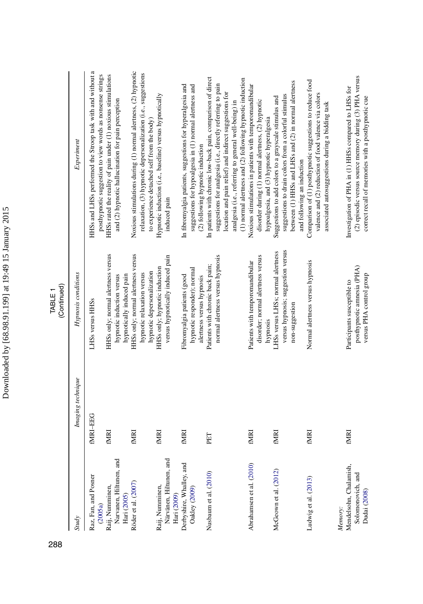|                                                                        |                   | (Continued)<br>TABLE <sub>1</sub>                                                              |                                                                                                                                                                                                                                                                                                            |
|------------------------------------------------------------------------|-------------------|------------------------------------------------------------------------------------------------|------------------------------------------------------------------------------------------------------------------------------------------------------------------------------------------------------------------------------------------------------------------------------------------------------------|
| <b>Study</b>                                                           | Imaging technique | Hypnosis conditions                                                                            | Experiment                                                                                                                                                                                                                                                                                                 |
| Raz, Fan, and Posner<br>(2005a)                                        | MRI-EEG           | LHSs versus HHSs                                                                               | HHSs and LHSs performed the Stroop task with and without a<br>posthypnotic suggestion to view words as nonsense strings                                                                                                                                                                                    |
| Raij, Numminen,                                                        | <b>EMRI</b>       | HHSs only; normal alertness versus                                                             | HHSs rated the reality of pain under (1) noxious stimulations                                                                                                                                                                                                                                              |
| Narvanen, Hiltunen, and<br>Hari (2005)                                 |                   | hypnotically induced pain<br>hypnotic induction versus                                         | and (2) hypnotic hallucination for pain perception                                                                                                                                                                                                                                                         |
| Röder et al. (2007)                                                    | fMRI              | HHSs only; normal alertness versus<br>hypnotic depersonalization<br>hypnotic relaxation versus | Noxious stimulations during (1) normal alertness, (2) hypnotic<br>relaxation, (3) hypnotic depersonalization (i.e., suggestions<br>to experience detached self from the body)                                                                                                                              |
| Närvänen, Hiltunen, and<br>Raij, Numminen,<br>Hari (2009)              | fMRI              | versus hypnotically induced pain<br>HHSs only; hypnotic induction                              | Hypnotic induction (i.e., baseline) versus hypnotically<br>induced pain                                                                                                                                                                                                                                    |
| Derbyshire, Whalley, and<br>Oakley (2009)                              | fmri              | hypnotic responder); normal<br>Fibromyalgia patients (good<br>alertness versus hypnosis        | In fibromyalgia patients, suggestions for hyperalgesia and<br>suggestions for hypoalgesia in (1) normal alertness and<br>(2) following hypnotic induction                                                                                                                                                  |
| Nusbaum et al. (2010)                                                  | PET               | normal alertness versus hypnosis<br>Patients with chronic back pain;                           | In patients with chronic low-back pain, comparison of direct<br>(1) normal alertness and (2) following hypnotic induction<br>suggestions for analgesia (i.e., directly referring to pain<br>location and pain relief) and indirect suggestions for<br>analgesia (i.e., referring to general well-being) in |
| Abrahamsen et al. (2010)                                               | <b>EMRI</b>       | disorder; normal alertness versus<br>Patients with temporomandibular<br>hypnosis               | Noxious stimulations in patients with temporomandibular<br>disorder during (1) normal alertness, (2) hypnotic<br>hypoalgesia, and (3) hypnotic hyperalgesia                                                                                                                                                |
| McGeown et al. (2012)                                                  | fMRI              | versus hypnosis; suggestion versus<br>LHSs versus LHSs; normal alertness<br>non-suggestion     | between (1) HHSs and LHSs and (2) in normal alertness<br>suggestions to drain colors from a colorful stimulus<br>Suggestions to add colors to a grayscale stimulus and<br>and following an induction                                                                                                       |
| Ludwig et al. (2013)                                                   | fMRI              | Normal alertness versus hypnosis                                                               | Comparison of (1) posthypnotic suggestions to reduce food<br>valence and (2) reduction of food valence via colors<br>associated autosuggestions during a bidding task                                                                                                                                      |
| Mendelsohn, Chalamish,<br>Solomonovich, and<br>Dudai (2008)<br>Memory: | fMRI              | posthypnotic amnesia (PHA)<br>versus PHA control group<br>Participants susceptible to          | (2) episodic versus source memory during (3) PHA versus<br>Investigation of PHA in (1) HHSs compared to LHSs for<br>correct recall of memories with a posthypnotic cue                                                                                                                                     |

Downloaded by [68.98.91.199] at 19:49 15 January 2015 Downloaded by [68.98.91.199] at 19:49 15 January 2015

288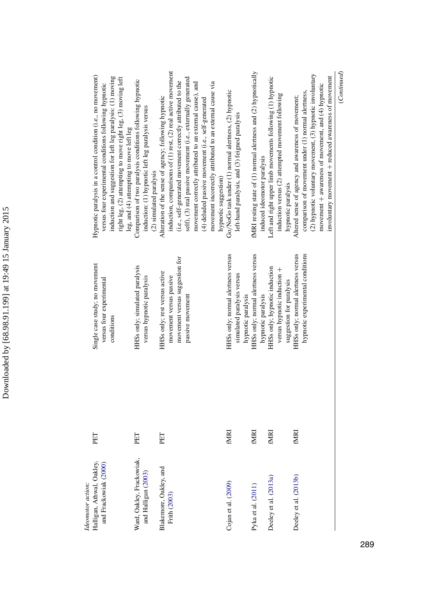| ׇ֚<br>í<br>١                            |
|-----------------------------------------|
| J<br>ì                                  |
|                                         |
| ŗ<br>í                                  |
| i<br>ć                                  |
| ١                                       |
| $\ddot{\phantom{0}}$<br>֚               |
| l<br>$\sim$ $\sim$ $\sim$<br>֧֧֢֝֜<br>Í |
| I                                       |
|                                         |
| i                                       |
| I                                       |

| Halligan, Athwal, Oakley,<br>and Frackowiak (2000)<br>Ideomotor action: | PET         | Single case study; no movement<br>versus four experimental<br>conditions                   | Hypnotic paralysis in a control condition (i.e., no movement)<br>induction and suggestion for left leg paralysis: (1) moving<br>right leg, (2) attempting to move right leg, (3) moving left<br>versus four experimental conditions following hypnotic<br>leg, and (4) attempting to move left leg |
|-------------------------------------------------------------------------|-------------|--------------------------------------------------------------------------------------------|----------------------------------------------------------------------------------------------------------------------------------------------------------------------------------------------------------------------------------------------------------------------------------------------------|
| Ward, Oakley, Frackowiak,<br>and Halligan (2003)                        | PET         | HHSs only; simulated paralysis<br>versus hypnotic paralysis                                | Comparison of two paralysis conditions following hypnotic<br>induction: (1) hypnotic left leg paralysis versus<br>(2) simulated paralysis                                                                                                                                                          |
| Blakemore, Oakley, and<br>Frith (2003)                                  | PET         | movement versus suggestion for<br>HISs only; rest versus active<br>movement versus passive | induction, comparisons of (1) rest, (2) real active movement<br>(i.e., self-generated movement correctly attributed to the<br>Alteration of the sense of agency; following hypnotic                                                                                                                |
|                                                                         |             | passive movement                                                                           | self), (3) real passive movement (i.e., externally generated<br>movement correctly attributed to an external cause), and<br>movement incorrectly attributed to an external cause via<br>(4) deluded passive movement (i.e., self-generated<br>hypnotic suggestion)                                 |
| Cojan et al. $(2009)$                                                   | fmri        | HHSs only; normal alertness versus<br>simulated paralysis versus<br>hypnotic paralysis     | Go/NoGo task under (1) normal alertness, (2) hypnotic<br>left-hand paralysis, and (3) feigned paralysis                                                                                                                                                                                            |
| Pyka et al. (2011)                                                      | <b>ENRI</b> | HHSs only; normal alertness versus<br>hypnotic paralysis                                   | fMRI resting state of (1) normal alertness and (2) hypnotically<br>induced ideomotor paralysis                                                                                                                                                                                                     |
| Deeley et al. (2013a)                                                   | <b>EMRI</b> | HHSs only; hypnotic induction<br>versus hypnotic induction +<br>suggestion for paralysis   | Left and right upper limb movements following (1) hypnotic<br>induction versus (2) attempted movement following<br>hypnotic paralysis                                                                                                                                                              |
| Deeley et al. (2013b)                                                   | fmri        | hypnotic experimental conditions<br>HHSs only; normal alertness versus                     | (2) hypnotic voluntary movement, (3) hypnotic involuntary<br>movement $+$ awareness of movement, and $(4)$ hypnotic<br>comparison of movement under (1) normal alertness,<br>Altered sense of agency and awareness of movement;                                                                    |
|                                                                         |             |                                                                                            | involuntary movement + reduced awareness of movement                                                                                                                                                                                                                                               |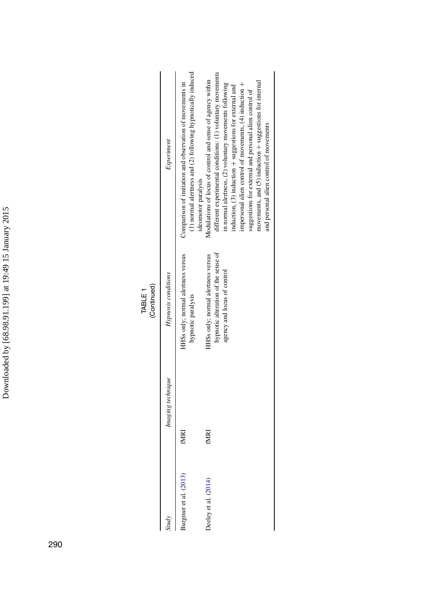Downloaded by [68.98.91.199] at 19:49 15 January 2015 Downloaded by [68.98.91.199] at 19:49 15 January 2015

|                                             |                   | (Continued)                                                                                             |                                                                                                                                                                                                                                                                                                                                                                                                                                                                                     |
|---------------------------------------------|-------------------|---------------------------------------------------------------------------------------------------------|-------------------------------------------------------------------------------------------------------------------------------------------------------------------------------------------------------------------------------------------------------------------------------------------------------------------------------------------------------------------------------------------------------------------------------------------------------------------------------------|
| <b>Study</b>                                | Imaging technique | Hypnosis conditions                                                                                     | Experiment                                                                                                                                                                                                                                                                                                                                                                                                                                                                          |
| $\frac{\text{largmer et al.} (2013)}{2013}$ | fMRI              | HHSs only; normal alertness versus<br>hypnotic paralysis                                                | (1) normal alertness and (2) following hypnotically induced<br>Comparison of imitation and observation of movements in<br>ideomotor paralysis                                                                                                                                                                                                                                                                                                                                       |
| beley et al. $(2014)$                       | fmri              | hypnotic alteration of the sense of<br>HSs only; normal alertness versus<br>agency and locus of control | different experimental conditions: (1) voluntary movements<br>Modulations of locus of control and sense of agency within<br>movements, and $(5)$ induction $+$ suggestions for internal<br>in normal alertness, (2) voluntary movements following<br>impersonal alien control of movements, $(4)$ induction $+$<br>induction, $(3)$ induction $+$ suggestions for external and<br>suggestions for external and personal alien control of<br>and personal alien control of movements |

TABLE 1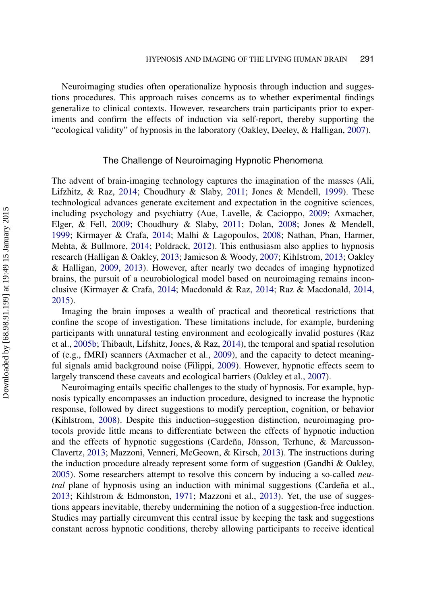Neuroimaging studies often operationalize hypnosis through induction and suggestions procedures. This approach raises concerns as to whether experimental findings generalize to clinical contexts. However, researchers train participants prior to experiments and confirm the effects of induction via self-report, thereby supporting the "ecological validity" of hypnosis in the laboratory (Oakley, Deeley, & Halligan, [2007\)](#page-28-8).

#### The Challenge of Neuroimaging Hypnotic Phenomena

The advent of brain-imaging technology captures the imagination of the masses (Ali, Lifzhitz, & Raz, [2014;](#page-22-2) Choudhury & Slaby, [2011;](#page-23-5) Jones & Mendell, [1999\)](#page-25-5). These technological advances generate excitement and expectation in the cognitive sciences, including psychology and psychiatry (Aue, Lavelle, & Cacioppo, [2009;](#page-22-3) Axmacher, Elger, & Fell, [2009;](#page-22-4) Choudhury & Slaby, [2011;](#page-23-5) Dolan, [2008;](#page-24-7) Jones & Mendell, [1999;](#page-25-5) Kirmayer & Crafa, [2014;](#page-25-6) Malhi & Lagopoulos, [2008;](#page-26-3) Nathan, Phan, Harmer, Mehta, & Bullmore, [2014;](#page-27-6) Poldrack, [2012\)](#page-28-9). This enthusiasm also applies to hypnosis research (Halligan & Oakley, [2013;](#page-25-0) Jamieson & Woody, [2007;](#page-25-7) Kihlstrom, [2013;](#page-25-2) Oakley & Halligan, [2009,](#page-28-0) [2013\)](#page-28-1). However, after nearly two decades of imaging hypnotized brains, the pursuit of a neurobiological model based on neuroimaging remains inconclusive (Kirmayer & Crafa, [2014;](#page-25-6) Macdonald & Raz, [2014;](#page-26-4) Raz & Macdonald, [2014,](#page-29-4) [2015\)](#page-29-5).

Imaging the brain imposes a wealth of practical and theoretical restrictions that confine the scope of investigation. These limitations include, for example, burdening participants with unnatural testing environment and ecologically invalid postures (Raz et al., [2005b;](#page-29-2) Thibault, Lifshitz, Jones, & Raz, [2014\)](#page-30-4), the temporal and spatial resolution of (e.g., fMRI) scanners (Axmacher et al., [2009\)](#page-22-4), and the capacity to detect meaningful signals amid background noise (Filippi, [2009\)](#page-24-8). However, hypnotic effects seem to largely transcend these caveats and ecological barriers (Oakley et al., [2007\)](#page-28-8).

Neuroimaging entails specific challenges to the study of hypnosis. For example, hypnosis typically encompasses an induction procedure, designed to increase the hypnotic response, followed by direct suggestions to modify perception, cognition, or behavior (Kihlstrom, [2008\)](#page-25-8). Despite this induction–suggestion distinction, neuroimaging protocols provide little means to differentiate between the effects of hypnotic induction and the effects of hypnotic suggestions (Cardeña, Jönsson, Terhune, & Marcusson-Clavertz, [2013;](#page-23-6) Mazzoni, Venneri, McGeown, & Kirsch, [2013\)](#page-27-7). The instructions during the induction procedure already represent some form of suggestion (Gandhi & Oakley, [2005\)](#page-24-9). Some researchers attempt to resolve this concern by inducing a so-called *neutral* plane of hypnosis using an induction with minimal suggestions (Cardeña et al., [2013;](#page-23-6) Kihlstrom & Edmonston, [1971;](#page-25-9) Mazzoni et al., [2013\)](#page-27-7). Yet, the use of suggestions appears inevitable, thereby undermining the notion of a suggestion-free induction. Studies may partially circumvent this central issue by keeping the task and suggestions constant across hypnotic conditions, thereby allowing participants to receive identical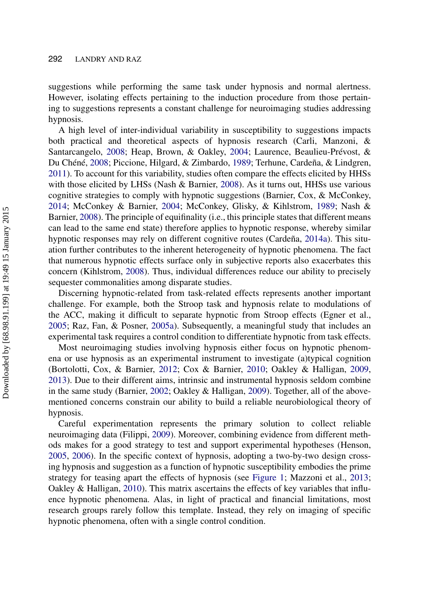suggestions while performing the same task under hypnosis and normal alertness. However, isolating effects pertaining to the induction procedure from those pertaining to suggestions represents a constant challenge for neuroimaging studies addressing hypnosis.

A high level of inter-individual variability in susceptibility to suggestions impacts both practical and theoretical aspects of hypnosis research (Carli, Manzoni, & Santarcangelo, [2008;](#page-23-7) Heap, Brown, & Oakley, [2004;](#page-25-10) Laurence, Beaulieu-Prévost, & Du Chéné, [2008;](#page-26-5) Piccione, Hilgard, & Zimbardo, [1989;](#page-28-10) Terhune, Cardeña, & Lindgren, [2011\)](#page-30-5). To account for this variability, studies often compare the effects elicited by HHSs with those elicited by LHSs (Nash & Barnier, [2008\)](#page-27-8). As it turns out, HHSs use various cognitive strategies to comply with hypnotic suggestions (Barnier, Cox, & McConkey, [2014;](#page-22-5) McConkey & Barnier, [2004;](#page-27-9) McConkey, Glisky, & Kihlstrom, [1989;](#page-27-10) Nash & Barnier, [2008\)](#page-27-8). The principle of equifinality (i.e., this principle states that different means can lead to the same end state) therefore applies to hypnotic response, whereby similar hypnotic responses may rely on different cognitive routes (Cardeña, [2014a\)](#page-23-8). This situation further contributes to the inherent heterogeneity of hypnotic phenomena. The fact that numerous hypnotic effects surface only in subjective reports also exacerbates this concern (Kihlstrom, [2008\)](#page-25-8). Thus, individual differences reduce our ability to precisely sequester commonalities among disparate studies.

Discerning hypnotic-related from task-related effects represents another important challenge. For example, both the Stroop task and hypnosis relate to modulations of the ACC, making it difficult to separate hypnotic from Stroop effects (Egner et al., [2005;](#page-24-2) Raz, Fan, & Posner, [2005a\)](#page-29-6). Subsequently, a meaningful study that includes an experimental task requires a control condition to differentiate hypnotic from task effects.

Most neuroimaging studies involving hypnosis either focus on hypnotic phenomena or use hypnosis as an experimental instrument to investigate (a)typical cognition (Bortolotti, Cox, & Barnier, [2012;](#page-22-6) Cox & Barnier, [2010;](#page-23-9) Oakley & Halligan, [2009,](#page-28-0) [2013\)](#page-28-1). Due to their different aims, intrinsic and instrumental hypnosis seldom combine in the same study (Barnier, [2002;](#page-22-7) Oakley & Halligan, [2009\)](#page-28-0). Together, all of the abovementioned concerns constrain our ability to build a reliable neurobiological theory of hypnosis.

Careful experimentation represents the primary solution to collect reliable neuroimaging data (Filippi, [2009\)](#page-24-8). Moreover, combining evidence from different methods makes for a good strategy to test and support experimental hypotheses (Henson, [2005,](#page-25-11) [2006\)](#page-25-12). In the specific context of hypnosis, adopting a two-by-two design crossing hypnosis and suggestion as a function of hypnotic susceptibility embodies the prime strategy for teasing apart the effects of hypnosis (see [Figure 1;](#page-10-0) Mazzoni et al., [2013;](#page-27-7) Oakley & Halligan, [2010\)](#page-28-11). This matrix ascertains the effects of key variables that influence hypnotic phenomena. Alas, in light of practical and financial limitations, most research groups rarely follow this template. Instead, they rely on imaging of specific hypnotic phenomena, often with a single control condition.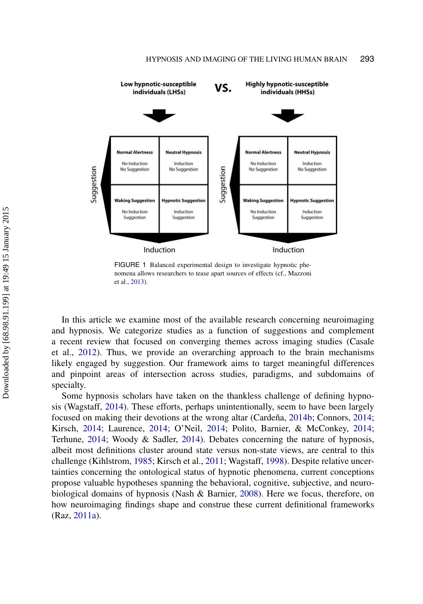<span id="page-10-0"></span>

FIGURE 1 Balanced experimental design to investigate hypnotic phenomena allows researchers to tease apart sources of effects (cf., Mazzoni et al., [2013\)](#page-27-7).

In this article we examine most of the available research concerning neuroimaging and hypnosis. We categorize studies as a function of suggestions and complement a recent review that focused on converging themes across imaging studies (Casale et al., [2012\)](#page-23-10). Thus, we provide an overarching approach to the brain mechanisms likely engaged by suggestion. Our framework aims to target meaningful differences and pinpoint areas of intersection across studies, paradigms, and subdomains of specialty.

Some hypnosis scholars have taken on the thankless challenge of defining hypnosis (Wagstaff, [2014\)](#page-30-6). These efforts, perhaps unintentionally, seem to have been largely focused on making their devotions at the wrong altar (Cardeña, [2014b;](#page-23-11) Connors, [2014;](#page-23-12) Kirsch, [2014;](#page-25-13) Laurence, [2014;](#page-26-6) O'Neil, [2014;](#page-27-11) Polito, Barnier, & McConkey, [2014;](#page-28-12) Terhune, [2014;](#page-30-7) Woody & Sadler, [2014\)](#page-30-8). Debates concerning the nature of hypnosis, albeit most definitions cluster around state versus non-state views, are central to this challenge (Kihlstrom, [1985;](#page-25-14) Kirsch et al., [2011;](#page-26-7) Wagstaff, [1998\)](#page-30-9). Despite relative uncertainties concerning the ontological status of hypnotic phenomena, current conceptions propose valuable hypotheses spanning the behavioral, cognitive, subjective, and neurobiological domains of hypnosis (Nash & Barnier, [2008\)](#page-27-8). Here we focus, therefore, on how neuroimaging findings shape and construe these current definitional frameworks (Raz, [2011a\)](#page-29-7).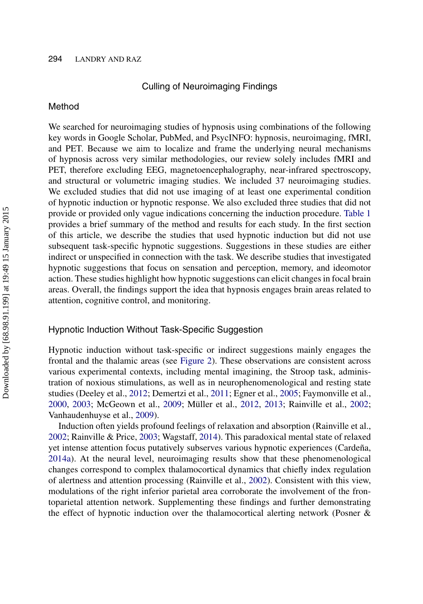#### 294 LANDRY AND RAZ

#### Culling of Neuroimaging Findings

#### Method

We searched for neuroimaging studies of hypnosis using combinations of the following key words in Google Scholar, PubMed, and PsycINFO: hypnosis, neuroimaging, fMRI, and PET. Because we aim to localize and frame the underlying neural mechanisms of hypnosis across very similar methodologies, our review solely includes fMRI and PET, therefore excluding EEG, magnetoencephalography, near-infrared spectroscopy, and structural or volumetric imaging studies. We included 37 neuroimaging studies. We excluded studies that did not use imaging of at least one experimental condition of hypnotic induction or hypnotic response. We also excluded three studies that did not provide or provided only vague indications concerning the induction procedure. [Table 1](#page-3-0) provides a brief summary of the method and results for each study. In the first section of this article, we describe the studies that used hypnotic induction but did not use subsequent task-specific hypnotic suggestions. Suggestions in these studies are either indirect or unspecified in connection with the task. We describe studies that investigated hypnotic suggestions that focus on sensation and perception, memory, and ideomotor action. These studies highlight how hypnotic suggestions can elicit changes in focal brain areas. Overall, the findings support the idea that hypnosis engages brain areas related to attention, cognitive control, and monitoring.

#### Hypnotic Induction Without Task-Specific Suggestion

Hypnotic induction without task-specific or indirect suggestions mainly engages the frontal and the thalamic areas (see [Figure 2\)](#page-12-0). These observations are consistent across various experimental contexts, including mental imagining, the Stroop task, administration of noxious stimulations, as well as in neurophenomenological and resting state studies (Deeley et al., [2012;](#page-23-0) Demertzi et al., [2011;](#page-24-3) Egner et al., [2005;](#page-24-2) Faymonville et al., [2000,](#page-24-0) [2003;](#page-24-1) McGeown et al., [2009;](#page-27-0) Müller et al., [2012,](#page-22-1) [2013;](#page-27-2) Rainville et al., [2002;](#page-28-2) Vanhaudenhuyse et al., [2009\)](#page-30-0).

Induction often yields profound feelings of relaxation and absorption (Rainville et al., [2002;](#page-28-2) Rainville & Price, [2003;](#page-28-13) Wagstaff, [2014\)](#page-30-6). This paradoxical mental state of relaxed yet intense attention focus putatively subserves various hypnotic experiences (Cardeña, [2014a\)](#page-23-8). At the neural level, neuroimaging results show that these phenomenological changes correspond to complex thalamocortical dynamics that chiefly index regulation of alertness and attention processing (Rainville et al., [2002\)](#page-28-2). Consistent with this view, modulations of the right inferior parietal area corroborate the involvement of the frontoparietal attention network. Supplementing these findings and further demonstrating the effect of hypnotic induction over the thalamocortical alerting network (Posner &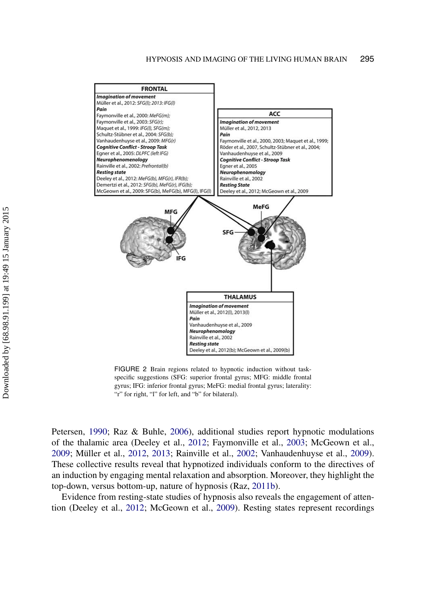<span id="page-12-0"></span>

FIGURE 2 Brain regions related to hypnotic induction without taskspecific suggestions (SFG: superior frontal gyrus; MFG: middle frontal gyrus; IFG: inferior frontal gyrus; MeFG: medial frontal gyrus; laterality: "r" for right, "l" for left, and "b" for bilateral).

Petersen, [1990;](#page-28-14) Raz & Buhle, [2006\)](#page-29-8), additional studies report hypnotic modulations of the thalamic area (Deeley et al., [2012;](#page-23-0) Faymonville et al., [2003;](#page-24-1) McGeown et al., [2009;](#page-27-0) Müller et al., [2012,](#page-22-1) [2013;](#page-27-2) Rainville et al., [2002;](#page-28-2) Vanhaudenhuyse et al., [2009\)](#page-30-0). These collective results reveal that hypnotized individuals conform to the directives of an induction by engaging mental relaxation and absorption. Moreover, they highlight the top-down, versus bottom-up, nature of hypnosis (Raz, [2011b\)](#page-29-9).

Evidence from resting-state studies of hypnosis also reveals the engagement of attention (Deeley et al., [2012;](#page-23-0) McGeown et al., [2009\)](#page-27-0). Resting states represent recordings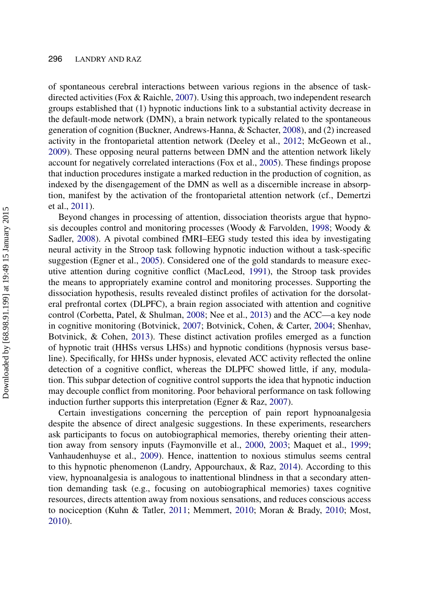of spontaneous cerebral interactions between various regions in the absence of taskdirected activities (Fox & Raichle, [2007\)](#page-24-10). Using this approach, two independent research groups established that (1) hypnotic inductions link to a substantial activity decrease in the default-mode network (DMN), a brain network typically related to the spontaneous generation of cognition (Buckner, Andrews-Hanna, & Schacter, [2008\)](#page-23-13), and (2) increased activity in the frontoparietal attention network (Deeley et al., [2012;](#page-23-0) McGeown et al., [2009\)](#page-27-0). These opposing neural patterns between DMN and the attention network likely account for negatively correlated interactions (Fox et al., [2005\)](#page-24-11). These findings propose that induction procedures instigate a marked reduction in the production of cognition, as indexed by the disengagement of the DMN as well as a discernible increase in absorption, manifest by the activation of the frontoparietal attention network (cf., Demertzi et al., [2011\)](#page-24-3).

Beyond changes in processing of attention, dissociation theorists argue that hypnosis decouples control and monitoring processes (Woody & Farvolden, [1998;](#page-30-10) Woody & Sadler, [2008\)](#page-30-11). A pivotal combined fMRI–EEG study tested this idea by investigating neural activity in the Stroop task following hypnotic induction without a task-specific suggestion (Egner et al., [2005\)](#page-24-2). Considered one of the gold standards to measure executive attention during cognitive conflict (MacLeod, [1991\)](#page-26-8), the Stroop task provides the means to appropriately examine control and monitoring processes. Supporting the dissociation hypothesis, results revealed distinct profiles of activation for the dorsolateral prefrontal cortex (DLPFC), a brain region associated with attention and cognitive control (Corbetta, Patel, & Shulman, [2008;](#page-23-14) Nee et al., [2013\)](#page-27-12) and the ACC—a key node in cognitive monitoring (Botvinick, [2007;](#page-22-8) Botvinick, Cohen, & Carter, [2004;](#page-22-9) Shenhav, Botvinick, & Cohen, [2013\)](#page-29-10). These distinct activation profiles emerged as a function of hypnotic trait (HHSs versus LHSs) and hypnotic conditions (hypnosis versus baseline). Specifically, for HHSs under hypnosis, elevated ACC activity reflected the online detection of a cognitive conflict, whereas the DLPFC showed little, if any, modulation. This subpar detection of cognitive control supports the idea that hypnotic induction may decouple conflict from monitoring. Poor behavioral performance on task following induction further supports this interpretation (Egner & Raz, [2007\)](#page-24-12).

Certain investigations concerning the perception of pain report hypnoanalgesia despite the absence of direct analgesic suggestions. In these experiments, researchers ask participants to focus on autobiographical memories, thereby orienting their attention away from sensory inputs (Faymonville et al., [2000,](#page-24-0) [2003;](#page-24-1) Maquet et al., [1999;](#page-26-0) Vanhaudenhuyse et al., [2009\)](#page-30-0). Hence, inattention to noxious stimulus seems central to this hypnotic phenomenon (Landry, Appourchaux,  $\&$  Raz, [2014\)](#page-26-9). According to this view, hypnoanalgesia is analogous to inattentional blindness in that a secondary attention demanding task (e.g., focusing on autobiographical memories) taxes cognitive resources, directs attention away from noxious sensations, and reduces conscious access to nociception (Kuhn & Tatler, [2011;](#page-26-10) Memmert, [2010;](#page-27-13) Moran & Brady, [2010;](#page-27-14) Most, [2010\)](#page-27-15).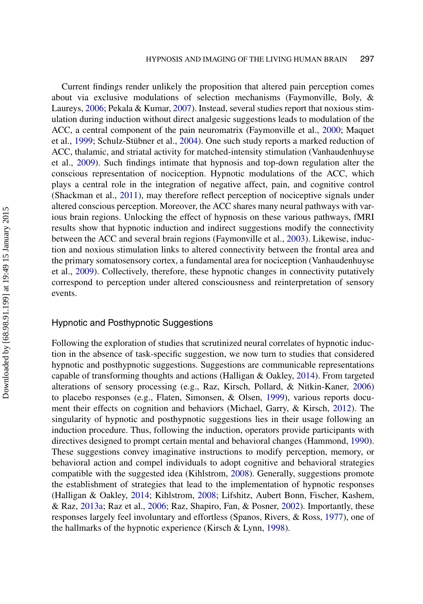Current findings render unlikely the proposition that altered pain perception comes about via exclusive modulations of selection mechanisms (Faymonville, Boly, & Laureys, [2006;](#page-24-13) Pekala & Kumar, [2007\)](#page-28-15). Instead, several studies report that noxious stimulation during induction without direct analgesic suggestions leads to modulation of the ACC, a central component of the pain neuromatrix (Faymonville et al., [2000;](#page-24-0) Maquet et al., [1999;](#page-26-0) Schulz-Stübner et al., [2004\)](#page-29-1). One such study reports a marked reduction of ACC, thalamic, and striatal activity for matched-intensity stimulation (Vanhaudenhuyse et al., [2009\)](#page-30-0). Such findings intimate that hypnosis and top-down regulation alter the conscious representation of nociception. Hypnotic modulations of the ACC, which plays a central role in the integration of negative affect, pain, and cognitive control (Shackman et al., [2011\)](#page-29-11), may therefore reflect perception of nociceptive signals under altered conscious perception. Moreover, the ACC shares many neural pathways with various brain regions. Unlocking the effect of hypnosis on these various pathways, fMRI results show that hypnotic induction and indirect suggestions modify the connectivity between the ACC and several brain regions (Faymonville et al., [2003\)](#page-24-1). Likewise, induction and noxious stimulation links to altered connectivity between the frontal area and the primary somatosensory cortex, a fundamental area for nociception (Vanhaudenhuyse et al., [2009\)](#page-30-0). Collectively, therefore, these hypnotic changes in connectivity putatively correspond to perception under altered consciousness and reinterpretation of sensory events.

#### Hypnotic and Posthypnotic Suggestions

Following the exploration of studies that scrutinized neural correlates of hypnotic induction in the absence of task-specific suggestion, we now turn to studies that considered hypnotic and posthypnotic suggestions. Suggestions are communicable representations capable of transforming thoughts and actions (Halligan & Oakley, [2014\)](#page-25-15). From targeted alterations of sensory processing (e.g., Raz, Kirsch, Pollard, & Nitkin-Kaner, [2006\)](#page-29-12) to placebo responses (e.g., Flaten, Simonsen, & Olsen, [1999\)](#page-24-14), various reports document their effects on cognition and behaviors (Michael, Garry, & Kirsch, [2012\)](#page-27-16). The singularity of hypnotic and posthypnotic suggestions lies in their usage following an induction procedure. Thus, following the induction, operators provide participants with directives designed to prompt certain mental and behavioral changes (Hammond, [1990\)](#page-25-16). These suggestions convey imaginative instructions to modify perception, memory, or behavioral action and compel individuals to adopt cognitive and behavioral strategies compatible with the suggested idea (Kihlstrom, [2008\)](#page-25-8). Generally, suggestions promote the establishment of strategies that lead to the implementation of hypnotic responses (Halligan & Oakley, [2014;](#page-25-15) Kihlstrom, [2008;](#page-25-8) Lifshitz, Aubert Bonn, Fischer, Kashem, & Raz, [2013a;](#page-26-11) Raz et al., [2006;](#page-29-12) Raz, Shapiro, Fan, & Posner, [2002\)](#page-29-13). Importantly, these responses largely feel involuntary and effortless (Spanos, Rivers, & Ross, [1977\)](#page-29-14), one of the hallmarks of the hypnotic experience (Kirsch & Lynn, [1998\)](#page-26-12).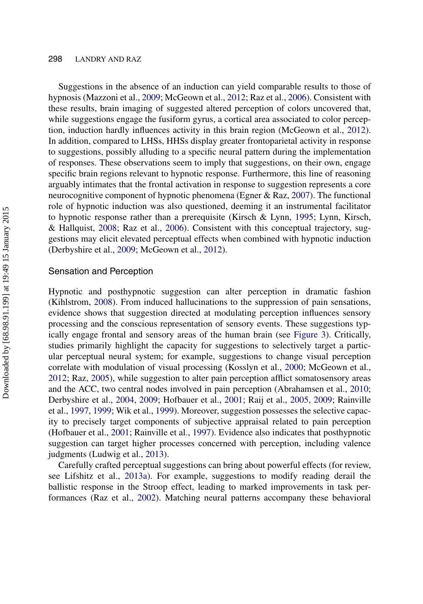Suggestions in the absence of an induction can yield comparable results to those of hypnosis (Mazzoni et al., [2009;](#page-27-17) McGeown et al., [2012;](#page-27-4) Raz et al., [2006\)](#page-29-12). Consistent with these results, brain imaging of suggested altered perception of colors uncovered that, while suggestions engage the fusiform gyrus, a cortical area associated to color perception, induction hardly influences activity in this brain region (McGeown et al., [2012\)](#page-27-4). In addition, compared to LHSs, HHSs display greater frontoparietal activity in response to suggestions, possibly alluding to a specific neural pattern during the implementation of responses. These observations seem to imply that suggestions, on their own, engage specific brain regions relevant to hypnotic response. Furthermore, this line of reasoning arguably intimates that the frontal activation in response to suggestion represents a core neurocognitive component of hypnotic phenomena (Egner & Raz, [2007\)](#page-24-12). The functional role of hypnotic induction was also questioned, deeming it an instrumental facilitator to hypnotic response rather than a prerequisite (Kirsch & Lynn, [1995;](#page-26-13) Lynn, Kirsch, & Hallquist, [2008;](#page-26-14) Raz et al., [2006\)](#page-29-12). Consistent with this conceptual trajectory, suggestions may elicit elevated perceptual effects when combined with hypnotic induction (Derbyshire et al., [2009;](#page-24-5) McGeown et al., [2012\)](#page-27-4).

#### Sensation and Perception

Hypnotic and posthypnotic suggestion can alter perception in dramatic fashion (Kihlstrom, [2008\)](#page-25-8). From induced hallucinations to the suppression of pain sensations, evidence shows that suggestion directed at modulating perception influences sensory processing and the conscious representation of sensory events. These suggestions typically engage frontal and sensory areas of the human brain (see [Figure 3\)](#page-16-0). Critically, studies primarily highlight the capacity for suggestions to selectively target a particular perceptual neural system; for example, suggestions to change visual perception correlate with modulation of visual processing (Kosslyn et al., [2000;](#page-26-1) McGeown et al., [2012;](#page-27-4) Raz, [2005\)](#page-29-2), while suggestion to alter pain perception afflict somatosensory areas and the ACC, two central nodes involved in pain perception (Abrahamsen et al., [2010;](#page-22-0) Derbyshire et al., [2004,](#page-24-4) [2009;](#page-24-5) Hofbauer et al., [2001;](#page-25-3) Raij et al., [2005,](#page-28-5) [2009;](#page-28-6) Rainville et al., [1997,](#page-28-3) [1999;](#page-28-4) Wik et al., [1999\)](#page-30-2). Moreover, suggestion possesses the selective capacity to precisely target components of subjective appraisal related to pain perception (Hofbauer et al., [2001;](#page-25-3) Rainville et al., [1997\)](#page-28-3). Evidence also indicates that posthypnotic suggestion can target higher processes concerned with perception, including valence judgments (Ludwig et al., [2013\)](#page-26-2).

Carefully crafted perceptual suggestions can bring about powerful effects (for review, see Lifshitz et al., [2013a\)](#page-25-17). For example, suggestions to modify reading derail the ballistic response in the Stroop effect, leading to marked improvements in task performances (Raz et al., [2002\)](#page-29-13). Matching neural patterns accompany these behavioral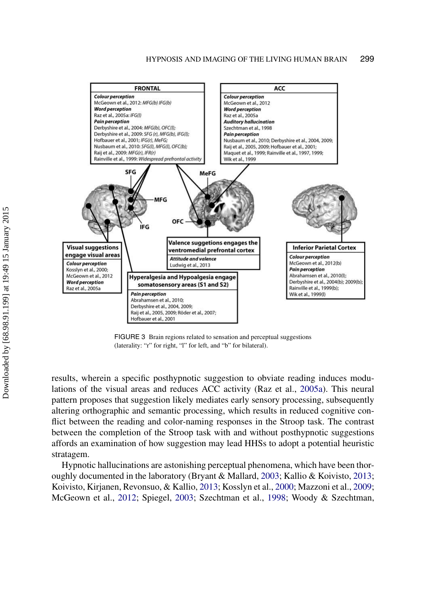<span id="page-16-0"></span>

FIGURE 3 Brain regions related to sensation and perceptual suggestions (laterality: "r" for right, "l" for left, and "b" for bilateral).

results, wherein a specific posthypnotic suggestion to obviate reading induces modulations of the visual areas and reduces ACC activity (Raz et al., [2005a\)](#page-29-2). This neural pattern proposes that suggestion likely mediates early sensory processing, subsequently altering orthographic and semantic processing, which results in reduced cognitive conflict between the reading and color-naming responses in the Stroop task. The contrast between the completion of the Stroop task with and without posthypnotic suggestions affords an examination of how suggestion may lead HHSs to adopt a potential heuristic stratagem.

Hypnotic hallucinations are astonishing perceptual phenomena, which have been thoroughly documented in the laboratory (Bryant & Mallard, [2003;](#page-23-15) Kallio & Koivisto, [2013;](#page-25-18) Koivisto, Kirjanen, Revonsuo, & Kallio, [2013;](#page-26-15) Kosslyn et al., [2000;](#page-26-1) Mazzoni et al., [2009;](#page-27-17) McGeown et al., [2012;](#page-27-4) Spiegel, [2003;](#page-29-15) Szechtman et al., [1998;](#page-30-1) Woody & Szechtman,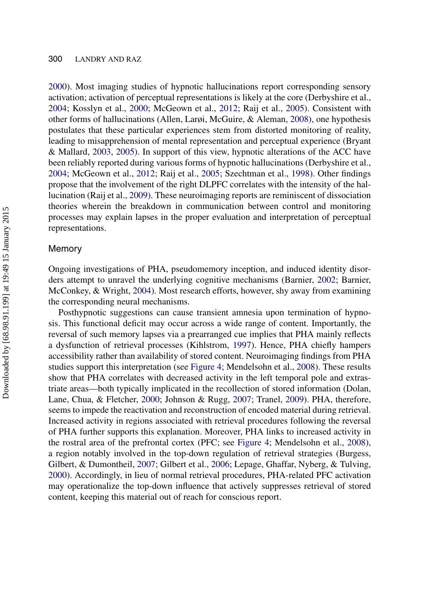[2000\)](#page-30-12). Most imaging studies of hypnotic hallucinations report corresponding sensory activation; activation of perceptual representations is likely at the core (Derbyshire et al., [2004;](#page-24-4) Kosslyn et al., [2000;](#page-26-1) McGeown et al., [2012;](#page-27-4) Raij et al., [2005\)](#page-28-5). Consistent with other forms of hallucinations (Allen, Larøi, McGuire, & Aleman, [2008\)](#page-22-10), one hypothesis postulates that these particular experiences stem from distorted monitoring of reality, leading to misapprehension of mental representation and perceptual experience (Bryant & Mallard, [2003,](#page-23-15) [2005\)](#page-23-16). In support of this view, hypnotic alterations of the ACC have been reliably reported during various forms of hypnotic hallucinations (Derbyshire et al., [2004;](#page-24-4) McGeown et al., [2012;](#page-27-4) Raij et al., [2005;](#page-28-5) Szechtman et al., [1998\)](#page-30-1). Other findings propose that the involvement of the right DLPFC correlates with the intensity of the hallucination (Raij et al., [2009\)](#page-28-6). These neuroimaging reports are reminiscent of dissociation theories wherein the breakdown in communication between control and monitoring processes may explain lapses in the proper evaluation and interpretation of perceptual representations.

#### Memory

Ongoing investigations of PHA, pseudomemory inception, and induced identity disorders attempt to unravel the underlying cognitive mechanisms (Barnier, [2002;](#page-22-7) Barnier, McConkey, & Wright, [2004\)](#page-22-11). Most research efforts, however, shy away from examining the corresponding neural mechanisms.

Posthypnotic suggestions can cause transient amnesia upon termination of hypnosis. This functional deficit may occur across a wide range of content. Importantly, the reversal of such memory lapses via a prearranged cue implies that PHA mainly reflects a dysfunction of retrieval processes (Kihlstrom, [1997\)](#page-25-19). Hence, PHA chiefly hampers accessibility rather than availability of stored content. Neuroimaging findings from PHA studies support this interpretation (see [Figure 4;](#page-18-0) Mendelsohn et al., [2008\)](#page-27-5). These results show that PHA correlates with decreased activity in the left temporal pole and extrastriate areas—both typically implicated in the recollection of stored information (Dolan, Lane, Chua, & Fletcher, [2000;](#page-24-15) Johnson & Rugg, [2007;](#page-25-20) Tranel, [2009\)](#page-30-13). PHA, therefore, seems to impede the reactivation and reconstruction of encoded material during retrieval. Increased activity in regions associated with retrieval procedures following the reversal of PHA further supports this explanation. Moreover, PHA links to increased activity in the rostral area of the prefrontal cortex (PFC; see [Figure 4;](#page-18-0) Mendelsohn et al., [2008\)](#page-27-5), a region notably involved in the top-down regulation of retrieval strategies (Burgess, Gilbert, & Dumontheil, [2007;](#page-23-17) Gilbert et al., [2006;](#page-24-16) Lepage, Ghaffar, Nyberg, & Tulving, [2000\)](#page-26-16). Accordingly, in lieu of normal retrieval procedures, PHA-related PFC activation may operationalize the top-down influence that actively suppresses retrieval of stored content, keeping this material out of reach for conscious report.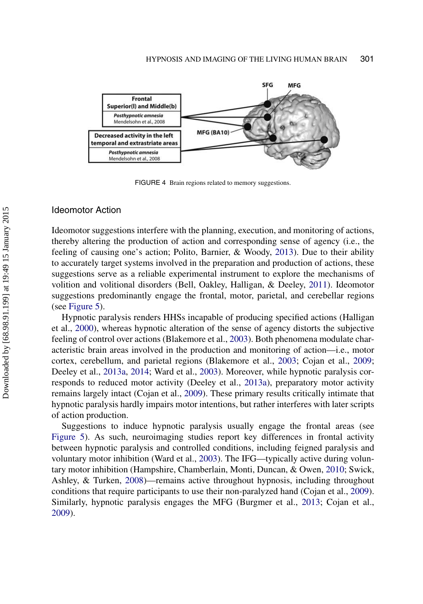<span id="page-18-0"></span>

FIGURE 4 Brain regions related to memory suggestions.

#### Ideomotor Action

Ideomotor suggestions interfere with the planning, execution, and monitoring of actions, thereby altering the production of action and corresponding sense of agency (i.e., the feeling of causing one's action; Polito, Barnier, & Woody, [2013\)](#page-28-16). Due to their ability to accurately target systems involved in the preparation and production of actions, these suggestions serve as a reliable experimental instrument to explore the mechanisms of volition and volitional disorders (Bell, Oakley, Halligan, & Deeley, [2011\)](#page-22-12). Ideomotor suggestions predominantly engage the frontal, motor, parietal, and cerebellar regions (see [Figure 5\)](#page-19-0).

Hypnotic paralysis renders HHSs incapable of producing specified actions (Halligan et al., [2000\)](#page-25-4), whereas hypnotic alteration of the sense of agency distorts the subjective feeling of control over actions (Blakemore et al., [2003\)](#page-22-1). Both phenomena modulate characteristic brain areas involved in the production and monitoring of action—i.e., motor cortex, cerebellum, and parietal regions (Blakemore et al., [2003;](#page-22-1) Cojan et al., [2009;](#page-23-1) Deeley et al., [2013a,](#page-24-6) [2014;](#page-24-17) Ward et al., [2003\)](#page-30-3). Moreover, while hypnotic paralysis corresponds to reduced motor activity (Deeley et al., [2013a\)](#page-24-6), preparatory motor activity remains largely intact (Cojan et al., [2009\)](#page-23-1). These primary results critically intimate that hypnotic paralysis hardly impairs motor intentions, but rather interferes with later scripts of action production.

Suggestions to induce hypnotic paralysis usually engage the frontal areas (see [Figure 5\)](#page-19-0). As such, neuroimaging studies report key differences in frontal activity between hypnotic paralysis and controlled conditions, including feigned paralysis and voluntary motor inhibition (Ward et al., [2003\)](#page-30-3). The IFG—typically active during voluntary motor inhibition (Hampshire, Chamberlain, Monti, Duncan, & Owen, [2010;](#page-25-21) Swick, Ashley, & Turken, [2008\)](#page-30-14)—remains active throughout hypnosis, including throughout conditions that require participants to use their non-paralyzed hand (Cojan et al., [2009\)](#page-23-1). Similarly, hypnotic paralysis engages the MFG (Burgmer et al., [2013;](#page-23-4) Cojan et al., [2009\)](#page-23-1).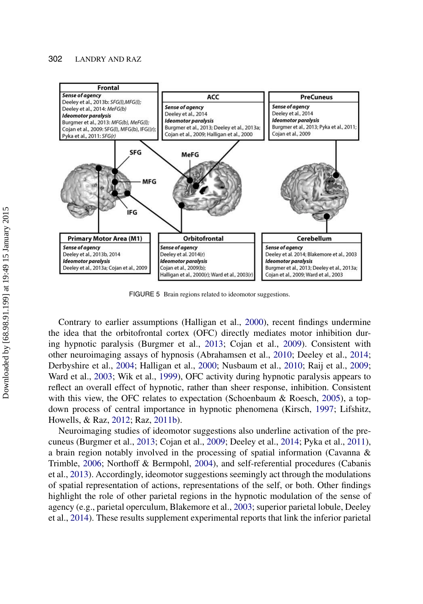#### 302 LANDRY AND RAZ

<span id="page-19-0"></span>

FIGURE 5 Brain regions related to ideomotor suggestions.

Contrary to earlier assumptions (Halligan et al., [2000\)](#page-25-4), recent findings undermine the idea that the orbitofrontal cortex (OFC) directly mediates motor inhibition during hypnotic paralysis (Burgmer et al., [2013;](#page-23-4) Cojan et al., [2009\)](#page-23-1). Consistent with other neuroimaging assays of hypnosis (Abrahamsen et al., [2010;](#page-22-0) Deeley et al., [2014;](#page-24-6) Derbyshire et al., [2004;](#page-24-4) Halligan et al., [2000;](#page-25-4) Nusbaum et al., [2010;](#page-27-3) Raij et al., [2009;](#page-28-6) Ward et al., [2003;](#page-30-3) Wik et al., [1999\)](#page-30-2), OFC activity during hypnotic paralysis appears to reflect an overall effect of hypnotic, rather than sheer response, inhibition. Consistent with this view, the OFC relates to expectation (Schoenbaum  $\&$  Roesch, [2005\)](#page-29-16), a topdown process of central importance in hypnotic phenomena (Kirsch, [1997;](#page-25-17) Lifshitz, Howells, & Raz, [2012;](#page-26-17) Raz, [2011b\)](#page-29-9).

Neuroimaging studies of ideomotor suggestions also underline activation of the precuneus (Burgmer et al., [2013;](#page-23-4) Cojan et al., [2009;](#page-23-1) Deeley et al., [2014;](#page-24-6) Pyka et al., [2011\)](#page-28-7), a brain region notably involved in the processing of spatial information (Cavanna & Trimble, [2006;](#page-23-2) Northoff & Bermpohl, [2004\)](#page-27-18), and self-referential procedures (Cabanis et al., [2013\)](#page-23-18). Accordingly, ideomotor suggestions seemingly act through the modulations of spatial representation of actions, representations of the self, or both. Other findings highlight the role of other parietal regions in the hypnotic modulation of the sense of agency (e.g., parietal operculum, Blakemore et al., [2003;](#page-22-1) superior parietal lobule, Deeley et al., [2014\)](#page-24-6). These results supplement experimental reports that link the inferior parietal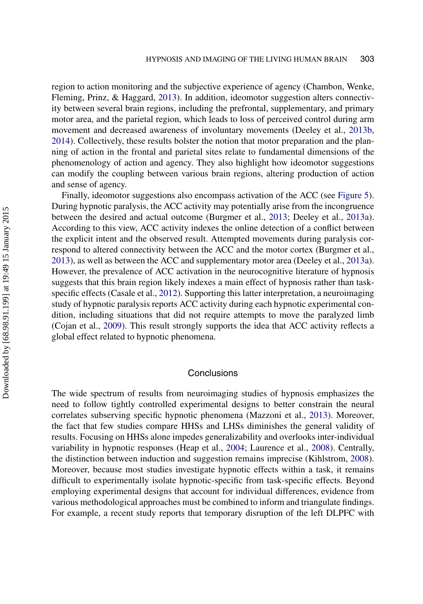region to action monitoring and the subjective experience of agency (Chambon, Wenke, Fleming, Prinz, & Haggard, [2013\)](#page-23-3). In addition, ideomotor suggestion alters connectivity between several brain regions, including the prefrontal, supplementary, and primary motor area, and the parietal region, which leads to loss of perceived control during arm movement and decreased awareness of involuntary movements (Deeley et al., [2013b,](#page-23-0) [2014\)](#page-24-6). Collectively, these results bolster the notion that motor preparation and the planning of action in the frontal and parietal sites relate to fundamental dimensions of the phenomenology of action and agency. They also highlight how ideomotor suggestions can modify the coupling between various brain regions, altering production of action and sense of agency.

Finally, ideomotor suggestions also encompass activation of the ACC (see [Figure 5\)](#page-19-0). During hypnotic paralysis, the ACC activity may potentially arise from the incongruence between the desired and actual outcome (Burgmer et al., [2013;](#page-23-4) Deeley et al., [2013a\)](#page-24-6). According to this view, ACC activity indexes the online detection of a conflict between the explicit intent and the observed result. Attempted movements during paralysis correspond to altered connectivity between the ACC and the motor cortex (Burgmer et al., [2013\)](#page-23-4), as well as between the ACC and supplementary motor area (Deeley et al., [2013a\)](#page-24-6). However, the prevalence of ACC activation in the neurocognitive literature of hypnosis suggests that this brain region likely indexes a main effect of hypnosis rather than taskspecific effects (Casale et al., [2012\)](#page-23-10). Supporting this latter interpretation, a neuroimaging study of hypnotic paralysis reports ACC activity during each hypnotic experimental condition, including situations that did not require attempts to move the paralyzed limb (Cojan et al., [2009\)](#page-23-1). This result strongly supports the idea that ACC activity reflects a global effect related to hypnotic phenomena.

#### **Conclusions**

The wide spectrum of results from neuroimaging studies of hypnosis emphasizes the need to follow tightly controlled experimental designs to better constrain the neural correlates subserving specific hypnotic phenomena (Mazzoni et al., [2013\)](#page-27-7). Moreover, the fact that few studies compare HHSs and LHSs diminishes the general validity of results. Focusing on HHSs alone impedes generalizability and overlooks inter-individual variability in hypnotic responses (Heap et al., [2004;](#page-25-10) Laurence et al., [2008\)](#page-26-5). Centrally, the distinction between induction and suggestion remains imprecise (Kihlstrom, [2008\)](#page-25-8). Moreover, because most studies investigate hypnotic effects within a task, it remains difficult to experimentally isolate hypnotic-specific from task-specific effects. Beyond employing experimental designs that account for individual differences, evidence from various methodological approaches must be combined to inform and triangulate findings. For example, a recent study reports that temporary disruption of the left DLPFC with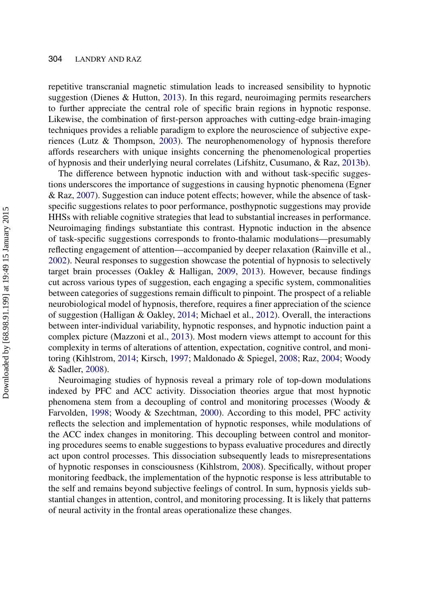repetitive transcranial magnetic stimulation leads to increased sensibility to hypnotic suggestion (Dienes & Hutton, [2013\)](#page-24-18). In this regard, neuroimaging permits researchers to further appreciate the central role of specific brain regions in hypnotic response. Likewise, the combination of first-person approaches with cutting-edge brain-imaging techniques provides a reliable paradigm to explore the neuroscience of subjective experiences (Lutz & Thompson, [2003\)](#page-26-18). The neurophenomenology of hypnosis therefore affords researchers with unique insights concerning the phenomenological properties of hypnosis and their underlying neural correlates (Lifshitz, Cusumano, & Raz, [2013b\)](#page-26-19).

The difference between hypnotic induction with and without task-specific suggestions underscores the importance of suggestions in causing hypnotic phenomena (Egner & Raz, [2007\)](#page-24-12). Suggestion can induce potent effects; however, while the absence of taskspecific suggestions relates to poor performance, posthypnotic suggestions may provide HHSs with reliable cognitive strategies that lead to substantial increases in performance. Neuroimaging findings substantiate this contrast. Hypnotic induction in the absence of task-specific suggestions corresponds to fronto-thalamic modulations—presumably reflecting engagement of attention—accompanied by deeper relaxation (Rainville et al., [2002\)](#page-28-2). Neural responses to suggestion showcase the potential of hypnosis to selectively target brain processes (Oakley & Halligan, [2009,](#page-28-0) [2013\)](#page-28-1). However, because findings cut across various types of suggestion, each engaging a specific system, commonalities between categories of suggestions remain difficult to pinpoint. The prospect of a reliable neurobiological model of hypnosis, therefore, requires a finer appreciation of the science of suggestion (Halligan & Oakley, [2014;](#page-25-15) Michael et al., [2012\)](#page-27-16). Overall, the interactions between inter-individual variability, hypnotic responses, and hypnotic induction paint a complex picture (Mazzoni et al., [2013\)](#page-27-7). Most modern views attempt to account for this complexity in terms of alterations of attention, expectation, cognitive control, and monitoring (Kihlstrom, [2014;](#page-25-22) Kirsch, [1997;](#page-25-17) Maldonado & Spiegel, [2008;](#page-26-20) Raz, [2004;](#page-28-17) Woody & Sadler, [2008\)](#page-30-11).

Neuroimaging studies of hypnosis reveal a primary role of top-down modulations indexed by PFC and ACC activity. Dissociation theories argue that most hypnotic phenomena stem from a decoupling of control and monitoring processes (Woody & Farvolden, [1998;](#page-30-10) Woody & Szechtman, [2000\)](#page-30-12). According to this model, PFC activity reflects the selection and implementation of hypnotic responses, while modulations of the ACC index changes in monitoring. This decoupling between control and monitoring procedures seems to enable suggestions to bypass evaluative procedures and directly act upon control processes. This dissociation subsequently leads to misrepresentations of hypnotic responses in consciousness (Kihlstrom, [2008\)](#page-25-8). Specifically, without proper monitoring feedback, the implementation of the hypnotic response is less attributable to the self and remains beyond subjective feelings of control. In sum, hypnosis yields substantial changes in attention, control, and monitoring processing. It is likely that patterns of neural activity in the frontal areas operationalize these changes.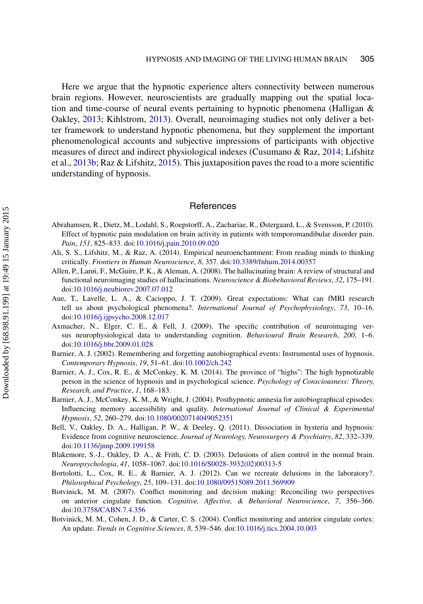Here we argue that the hypnotic experience alters connectivity between numerous brain regions. However, neuroscientists are gradually mapping out the spatial location and time-course of neural events pertaining to hypnotic phenomena (Halligan & Oakley, [2013;](#page-25-0) Kihlstrom, [2013\)](#page-25-2). Overall, neuroimaging studies not only deliver a better framework to understand hypnotic phenomena, but they supplement the important phenomenological accounts and subjective impressions of participants with objective measures of direct and indirect physiological indexes (Cusumano & Raz, [2014;](#page-23-19) Lifshitz et al., [2013b;](#page-25-20) Raz & Lifshitz, [2015\)](#page-27-4). This juxtaposition paves the road to a more scientific understanding of hypnosis.

#### **References**

- <span id="page-22-0"></span>Abrahamsen, R., Dietz, M., Lodahl, S., Roepstorff, A., Zachariae, R., Østergaard, L., & Svensson, P. (2010). Effect of hypnotic pain modulation on brain activity in patients with temporomandibular disorder pain. *Pain*, *151*, 825–833. doi[:10.1016/j.pain.2010.09.020](http://dx.doi.org/10.1016/j.pain.2010.09.020)
- <span id="page-22-2"></span>Ali, S. S., Lifshitz, M., & Raz, A. (2014). Empirical neuroenchantment: From reading minds to thinking critically. *Frontiers in Human Neuroscience*, *8*, 357. doi[:10.3389/fnhum.2014.00357](http://dx.doi.org/10.3389/fnhum.2014.00357)
- <span id="page-22-10"></span>Allen, P., Larøi, F., McGuire, P. K., & Aleman, A. (2008). The hallucinating brain: A review of structural and functional neuroimaging studies of hallucinations. *Neuroscience & Biobehavioral Reviews*, *32*, 175–191. doi[:10.1016/j.neubiorev.2007.07.012](http://dx.doi.org/10.1016/j.neubiorev.2007.07.012)
- <span id="page-22-3"></span>Aue, T., Lavelle, L. A., & Cacioppo, J. T. (2009). Great expectations: What can fMRI research tell us about psychological phenomena?. *International Journal of Psychophysiology*, *73*, 10–16. doi[:10.1016/j.ijpsycho.2008.12.017](http://dx.doi.org/10.1016/j.ijpsycho.2008.12.017)
- <span id="page-22-4"></span>Axmacher, N., Elger, C. E., & Fell, J. (2009). The specific contribution of neuroimaging versus neurophysiological data to understanding cognition. *Behavioural Brain Research*, *200*, 1–6. doi[:10.1016/j.bbr.2009.01.028](http://dx.doi.org/10.1016/j.bbr.2009.01.028)
- <span id="page-22-7"></span>Barnier, A. J. (2002). Remembering and forgetting autobiographical events: Instrumental uses of hypnosis. *Contemporary Hypnosis*, *19*, 51–61. doi[:10.1002/ch.242](http://dx.doi.org/10.1002/ch.242)
- <span id="page-22-5"></span>Barnier, A. J., Cox, R. E., & McConkey, K. M. (2014). The province of "highs": The high hypnotizable person in the science of hypnosis and in psychological science. *Psychology of Consciousness: Theory, Research, and Practice*, *1*, 168–183.
- <span id="page-22-11"></span>Barnier, A. J., McConkey, K. M., & Wright, J. (2004). Posthypnotic amnesia for autobiographical episodes: Influencing memory accessibility and quality. *International Journal of Clinical & Experimental Hypnosis*, *52*, 260–279. doi[:10.1080/0020714049052351](http://dx.doi.org/10.1080/0020714049052351)
- <span id="page-22-12"></span>Bell, V., Oakley, D. A., Halligan, P. W., & Deeley, Q. (2011). Dissociation in hysteria and hypnosis: Evidence from cognitive neuroscience. *Journal of Neurology, Neurosurgery & Psychiatry*, *82*, 332–339. doi[:10.1136/jnnp.2009.199158](http://dx.doi.org/10.1136/jnnp.2009.199158)
- <span id="page-22-1"></span>Blakemore, S.-J., Oakley, D. A., & Frith, C. D. (2003). Delusions of alien control in the normal brain. *Neuropsychologia*, *41*, 1058–1067. doi[:10.1016/S0028-3932\(02\)00313-5](http://dx.doi.org/10.1016/S0028-3932(02)00313-5)
- <span id="page-22-6"></span>Bortolotti, L., Cox, R. E., & Barnier, A. J. (2012). Can we recreate delusions in the laboratory?. *Philosophical Psychology*, *25*, 109–131. doi[:10.1080/09515089.2011.569909](http://dx.doi.org/10.1080/09515089.2011.569909)
- <span id="page-22-8"></span>Botvinick, M. M. (2007). Conflict monitoring and decision making: Reconciling two perspectives on anterior cingulate function. *Cognitive, Affective, & Behavioral Neuroscience*, *7*, 356–366. doi[:10.3758/CABN.7.4.356](http://dx.doi.org/10.3758/CABN.7.4.356)
- <span id="page-22-9"></span>Botvinick, M. M., Cohen, J. D., & Carter, C. S. (2004). Conflict monitoring and anterior cingulate cortex: An update. *Trends in Cognitive Sciences*, *8*, 539–546. doi[:10.1016/j.tics.2004.10.003](http://dx.doi.org/10.1016/j.tics.2004.10.003)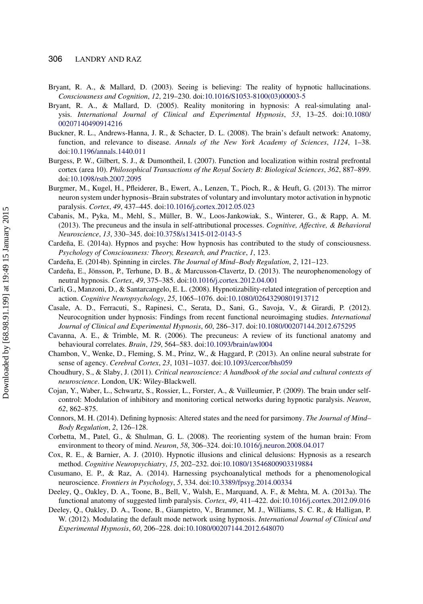- <span id="page-23-15"></span>Bryant, R. A., & Mallard, D. (2003). Seeing is believing: The reality of hypnotic hallucinations. *Consciousness and Cognition*, *12*, 219–230. doi[:10.1016/S1053-8100\(03\)00003-5](http://dx.doi.org/10.1016/\gdef yes{no}\penalty \z@ \gdef \ {\penalty \z@ }\gdef no{no}\gdef yes{yes}\gdef \ \gdef \ {\ }\gdef no{no}\gdef yes{yes}{\penalty \z@ \gdef \ {\penalty \z@ }\gdef no{no}\gdef yes{yes}}S1053-8100(03)00003-5)
- <span id="page-23-16"></span>Bryant, R. A., & Mallard, D. (2005). Reality monitoring in hypnosis: A real-simulating analysis. *International [Journal](http://dx.doi.org/10.1080/\gdef yes{no}\penalty \z@ \gdef \ {\penalty \z@ }\gdef no{no}\gdef yes{yes}\gdef \ \gdef \ {\ }\gdef no{no}\gdef yes{yes}{\penalty \z@ \gdef \ {\penalty \z@ }\gdef no{no}\gdef yes{yes}}00207140490914216) [of](http://dx.doi.org/10.1080/\gdef yes{no}\penalty \z@ \gdef \ {\penalty \z@ }\gdef no{no}\gdef yes{yes}\gdef \ \gdef \ {\ }\gdef no{no}\gdef yes{yes}{\penalty \z@ \gdef \ {\penalty \z@ }\gdef no{no}\gdef yes{yes}}00207140490914216) [Clinical](http://dx.doi.org/10.1080/\gdef yes{no}\penalty \z@ \gdef \ {\penalty \z@ }\gdef no{no}\gdef yes{yes}\gdef \ \gdef \ {\ }\gdef no{no}\gdef yes{yes}{\penalty \z@ \gdef \ {\penalty \z@ }\gdef no{no}\gdef yes{yes}}00207140490914216) [and](http://dx.doi.org/10.1080/\gdef yes{no}\penalty \z@ \gdef \ {\penalty \z@ }\gdef no{no}\gdef yes{yes}\gdef \ \gdef \ {\ }\gdef no{no}\gdef yes{yes}{\penalty \z@ \gdef \ {\penalty \z@ }\gdef no{no}\gdef yes{yes}}00207140490914216) [Experimental](http://dx.doi.org/10.1080/\gdef yes{no}\penalty \z@ \gdef \ {\penalty \z@ }\gdef no{no}\gdef yes{yes}\gdef \ \gdef \ {\ }\gdef no{no}\gdef yes{yes}{\penalty \z@ \gdef \ {\penalty \z@ }\gdef no{no}\gdef yes{yes}}00207140490914216) [Hypnosis](http://dx.doi.org/10.1080/\gdef yes{no}\penalty \z@ \gdef \ {\penalty \z@ }\gdef no{no}\gdef yes{yes}\gdef \ \gdef \ {\ }\gdef no{no}\gdef yes{yes}{\penalty \z@ \gdef \ {\penalty \z@ }\gdef no{no}\gdef yes{yes}}00207140490914216)*, *53*, 13–25. doi:[10.1080/](http://dx.doi.org/10.1080/00207140490914216) [00207140490914216](http://dx.doi.org/10.1080/00207140490914216)
- <span id="page-23-13"></span>Buckner, R. L., Andrews-Hanna, J. R., & Schacter, D. L. (2008). The brain's default network: Anatomy, function, and relevance to disease. *Annals of the New York Academy of Sciences*, *1124*, 1–38. doi[:10.1196/annals.1440.011](http://dx.doi.org/10.1196/annals.1440.011)
- <span id="page-23-17"></span>Burgess, P. W., Gilbert, S. J., & Dumontheil, I. (2007). Function and localization within rostral prefrontal cortex (area 10). *Philosophical Transactions of the Royal Society B: Biological Sciences*, *362*, 887–899. doi[:10.1098/rstb.2007.2095](http://dx.doi.org/10.1098/rstb.2007.2095)
- <span id="page-23-4"></span>Burgmer, M., Kugel, H., Pfleiderer, B., Ewert, A., Lenzen, T., Pioch, R., & Heuft, G. (2013). The mirror neuron system under hypnosis–Brain substrates of voluntary and involuntary motor activation in hypnotic paralysis. *Cortex*, *49*, 437–445. doi[:10.1016/j.cortex.2012.05.023](http://dx.doi.org/10.1016/j.cortex.2012.05.023)
- <span id="page-23-18"></span>Cabanis, M., Pyka, M., Mehl, S., Müller, B. W., Loos-Jankowiak, S., Winterer, G., & Rapp, A. M. (2013). The precuneus and the insula in self-attributional processes. *Cognitive, Affective, & Behavioral Neuroscience*, *13*, 330–345. doi[:10.3758/s13415-012-0143-5](http://dx.doi.org/10.3758/s13415-012-0143-5)
- <span id="page-23-8"></span>Cardeña, E. (2014a). Hypnos and psyche: How hypnosis has contributed to the study of consciousness. *Psychology of Consciousness: Theory, Research, and Practice*, *1*, 123.
- <span id="page-23-11"></span>Cardeña, E. (2014b). Spinning in circles. *The Journal of Mind–Body Regulation*, *2*, 121–123.
- <span id="page-23-6"></span>Cardeña, E., Jönsson, P., Terhune, D. B., & Marcusson-Clavertz, D. (2013). The neurophenomenology of neutral hypnosis. *Cortex*, *49*, 375–385. doi[:10.1016/j.cortex.2012.04.001](http://dx.doi.org/10.1016/j.cortex.2012.04.001)
- <span id="page-23-7"></span>Carli, G., Manzoni, D., & Santarcangelo, E. L. (2008). Hypnotizability-related integration of perception and action. *Cognitive Neuropsychology*, *25*, 1065–1076. doi[:10.1080/02643290801913712](http://dx.doi.org/10.1080/02643290801913712)
- <span id="page-23-10"></span>Casale, A. D., Ferracuti, S., Rapinesi, C., Serata, D., Sani, G., Savoja, V., & Girardi, P. (2012). Neurocognition under hypnosis: Findings from recent functional neuroimaging studies. *International Journal of Clinical and Experimental Hypnosis*, *60*, 286–317. doi[:10.1080/00207144.2012.675295](http://dx.doi.org/10.1080/00207144.2012.675295)
- <span id="page-23-2"></span>Cavanna, A. E., & Trimble, M. R. (2006). The precuneus: A review of its functional anatomy and behavioural correlates. *Brain*, *129*, 564–583. doi[:10.1093/brain/awl004](http://dx.doi.org/10.1093/brain/awl004)
- <span id="page-23-3"></span>Chambon, V., Wenke, D., Fleming, S. M., Prinz, W., & Haggard, P. (2013). An online neural substrate for sense of agency. *Cerebral Cortex*, *23*, 1031–1037. doi[:10.1093/cercor/bhs059](http://dx.doi.org/10.1093/cercor/bhs059)
- <span id="page-23-5"></span>Choudhury, S., & Slaby, J. (2011). *Critical neuroscience: A handbook of the social and cultural contexts of neuroscience*. London, UK: Wiley-Blackwell.
- <span id="page-23-1"></span>Cojan, Y., Waber, L., Schwartz, S., Rossier, L., Forster, A., & Vuilleumier, P. (2009). The brain under selfcontrol: Modulation of inhibitory and monitoring cortical networks during hypnotic paralysis. *Neuron*, *62*, 862–875.
- <span id="page-23-12"></span>Connors, M. H. (2014). Defining hypnosis: Altered states and the need for parsimony. *The Journal of Mind– Body Regulation*, *2*, 126–128.
- <span id="page-23-14"></span>Corbetta, M., Patel, G., & Shulman, G. L. (2008). The reorienting system of the human brain: From environment to theory of mind. *Neuron*, *58*, 306–324. doi[:10.1016/j.neuron.2008.04.017](http://dx.doi.org/10.1016/j.neuron.2008.04.017)
- <span id="page-23-9"></span>Cox, R. E., & Barnier, A. J. (2010). Hypnotic illusions and clinical delusions: Hypnosis as a research method. *Cognitive Neuropsychiatry*, *15*, 202–232. doi[:10.1080/13546800903319884](http://dx.doi.org/10.1080/13546800903319884)
- <span id="page-23-19"></span>Cusumano, E. P., & Raz, A. (2014). Harnessing psychoanalytical methods for a phenomenological neuroscience. *Frontiers in Psychology*, *5*, 334. doi[:10.3389/fpsyg.2014.00334](http://dx.doi.org/10.3389/fpsyg.2014.00334)
- Deeley, Q., Oakley, D. A., Toone, B., Bell, V., Walsh, E., Marquand, A. F., & Mehta, M. A. (2013a). The functional anatomy of suggested limb paralysis. *Cortex*, *49*, 411–422. doi[:10.1016/j.cortex.2012.09.016](http://dx.doi.org/10.1016/j.cortex.2012.09.016)
- <span id="page-23-0"></span>Deeley, Q., Oakley, D. A., Toone, B., Giampietro, V., Brammer, M. J., Williams, S. C. R., & Halligan, P. W. (2012). Modulating the default mode network using hypnosis. *International Journal of Clinical and Experimental Hypnosis*, *60*, 206–228. doi[:10.1080/00207144.2012.648070](http://dx.doi.org/10.1080/00207144.2012.648070)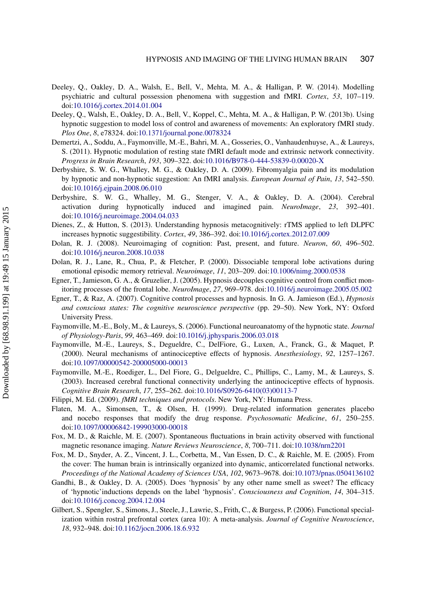- <span id="page-24-6"></span>Deeley, Q., Oakley, D. A., Walsh, E., Bell, V., Mehta, M. A., & Halligan, P. W. (2014). Modelling psychiatric and cultural possession phenomena with suggestion and fMRI. *Cortex*, *53*, 107–119. doi[:10.1016/j.cortex.2014.01.004](http://dx.doi.org/10.1016/j.cortex.2014.01.004)
- <span id="page-24-17"></span>Deeley, Q., Walsh, E., Oakley, D. A., Bell, V., Koppel, C., Mehta, M. A., & Halligan, P. W. (2013b). Using hypnotic suggestion to model loss of control and awareness of movements: An exploratory fMRI study. *Plos One*, *8*, e78324. doi[:10.1371/journal.pone.0078324](http://dx.doi.org/10.1371/journal.pone.0078324)
- <span id="page-24-3"></span>Demertzi, A., Soddu, A., Faymonville, M.-E., Bahri, M. A., Gosseries, O., Vanhaudenhuyse, A., & Laureys, S. (2011). Hypnotic modulation of resting state fMRI default mode and extrinsic network connectivity. *Progress in Brain Research*, *193*, 309–322. doi[:10.1016/B978-0-444-53839-0.00020-X](http://dx.doi.org/10.1016/B978-0-444-53839-0.00020-X)
- <span id="page-24-5"></span>Derbyshire, S. W. G., Whalley, M. G., & Oakley, D. A. (2009). Fibromyalgia pain and its modulation by hypnotic and non-hypnotic suggestion: An fMRI analysis. *European Journal of Pain*, *13*, 542–550. doi[:10.1016/j.ejpain.2008.06.010](http://dx.doi.org/10.1016/j.ejpain.2008.06.010)
- <span id="page-24-4"></span>Derbyshire, S. W. G., Whalley, M. G., Stenger, V. A., & Oakley, D. A. (2004). Cerebral activation during hypnotically induced and imagined pain. *NeuroImage*, *23*, 392–401. doi[:10.1016/j.neuroimage.2004.04.033](http://dx.doi.org/10.1016/j.neuroimage.2004.04.033)
- <span id="page-24-18"></span>Dienes, Z., & Hutton, S. (2013). Understanding hypnosis metacognitively: rTMS applied to left DLPFC increases hypnotic suggestibility. *Cortex*, *49*, 386–392. doi[:10.1016/j.cortex.2012.07.009](http://dx.doi.org/10.1016/j.cortex.2012.07.009)
- <span id="page-24-7"></span>Dolan, R. J. (2008). Neuroimaging of cognition: Past, present, and future. *Neuron*, *60*, 496–502. doi[:10.1016/j.neuron.2008.10.038](http://dx.doi.org/10.1016/j.neuron.2008.10.038)
- <span id="page-24-15"></span>Dolan, R. J., Lane, R., Chua, P., & Fletcher, P. (2000). Dissociable temporal lobe activations during emotional episodic memory retrieval. *Neuroimage*, *11*, 203–209. doi[:10.1006/nimg.2000.0538](http://dx.doi.org/10.1006/nimg.2000.0538)
- <span id="page-24-2"></span>Egner, T., Jamieson, G. A., & Gruzelier, J. (2005). Hypnosis decouples cognitive control from conflict monitoring processes of the frontal lobe. *NeuroImage*, *27*, 969–978. doi[:10.1016/j.neuroimage.2005.05.002](http://dx.doi.org/10.1016/j.neuroimage.2005.05.002)
- <span id="page-24-12"></span>Egner, T., & Raz, A. (2007). Cognitive control processes and hypnosis. In G. A. Jamieson (Ed.), *Hypnosis and conscious states: The cognitive neuroscience perspective* (pp. 29–50). New York, NY: Oxford University Press.
- <span id="page-24-13"></span>Faymonville, M.-E., Boly, M., & Laureys, S. (2006). Functional neuroanatomy of the hypnotic state. *Journal of Physiology-Paris*, *99*, 463–469. doi[:10.1016/j.jphysparis.2006.03.018](http://dx.doi.org/10.1016/j.jphysparis.2006.03.018)
- <span id="page-24-0"></span>Faymonville, M.-E., Laureys, S., Degueldre, C., DelFiore, G., Luxen, A., Franck, G., & Maquet, P. (2000). Neural mechanisms of antinociceptive effects of hypnosis. *Anesthesiology*, *92*, 1257–1267. doi[:10.1097/00000542-200005000-00013](http://dx.doi.org/10.1097/00000542-200005000-00013)
- <span id="page-24-1"></span>Faymonville, M.-E., Roediger, L., Del Fiore, G., Delgueldre, C., Phillips, C., Lamy, M., & Laureys, S. (2003). Increased cerebral functional connectivity underlying the antinociceptive effects of hypnosis. *Cognitive Brain Research*, *17*, 255–262. doi[:10.1016/S0926-6410\(03\)00113-7](http://dx.doi.org/10.1016/S0926-6410(03)00113-7)
- <span id="page-24-8"></span>Filippi, M. Ed. (2009). *fMRI techniques and protocols*. New York, NY: Humana Press.
- <span id="page-24-14"></span>Flaten, M. A., Simonsen, T., & Olsen, H. (1999). Drug-related information generates placebo and nocebo responses that modify the drug response. *Psychosomatic Medicine*, *61*, 250–255. doi[:10.1097/00006842-199903000-00018](http://dx.doi.org/10.1097/00006842-199903000-00018)
- <span id="page-24-10"></span>Fox, M. D., & Raichle, M. E. (2007). Spontaneous fluctuations in brain activity observed with functional magnetic resonance imaging. *Nature Reviews Neuroscience*, *8*, 700–711. doi[:10.1038/nrn2201](http://dx.doi.org/10.1038/nrn2201)
- <span id="page-24-11"></span>Fox, M. D., Snyder, A. Z., Vincent, J. L., Corbetta, M., Van Essen, D. C., & Raichle, M. E. (2005). From the cover: The human brain is intrinsically organized into dynamic, anticorrelated functional networks. *Proceedings of the National Academy of Sciences USA*, *102*, 9673–9678. doi[:10.1073/pnas.0504136102](http://dx.doi.org/10.1073/pnas.0504136102)
- <span id="page-24-9"></span>Gandhi, B., & Oakley, D. A. (2005). Does 'hypnosis' by any other name smell as sweet? The efficacy of 'hypnotic'inductions depends on the label 'hypnosis'. *Consciousness and Cognition*, *14*, 304–315. doi[:10.1016/j.concog.2004.12.004](http://dx.doi.org/10.1016/j.concog.2004.12.004)
- <span id="page-24-16"></span>Gilbert, S., Spengler, S., Simons, J., Steele, J., Lawrie, S., Frith, C., & Burgess, P. (2006). Functional specialization within rostral prefrontal cortex (area 10): A meta-analysis. *Journal of Cognitive Neuroscience*, *18*, 932–948. doi[:10.1162/jocn.2006.18.6.932](http://dx.doi.org/10.1162/jocn.2006.18.6.932)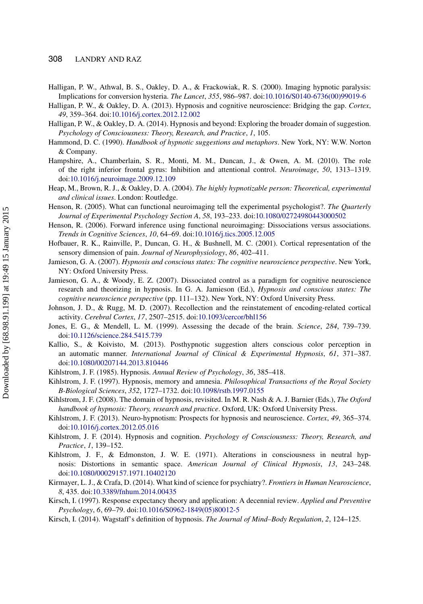- <span id="page-25-4"></span>Halligan, P. W., Athwal, B. S., Oakley, D. A., & Frackowiak, R. S. (2000). Imaging hypnotic paralysis: Implications for conversion hysteria. *The Lancet*, *355*, 986–987. doi[:10.1016/S0140-6736\(00\)99019-6](http://dx.doi.org/10.1016/S0140-6736(00)99019-6)
- <span id="page-25-0"></span>Halligan, P. W., & Oakley, D. A. (2013). Hypnosis and cognitive neuroscience: Bridging the gap. *Cortex*, *49*, 359–364. doi[:10.1016/j.cortex.2012.12.002](http://dx.doi.org/10.1016/j.cortex.2012.12.002)
- <span id="page-25-15"></span>Halligan, P. W., & Oakley, D. A. (2014). Hypnosis and beyond: Exploring the broader domain of suggestion. *Psychology of Consciousness: Theory, Research, and Practice*, *1*, 105.
- <span id="page-25-16"></span>Hammond, D. C. (1990). *Handbook of hypnotic suggestions and metaphors*. New York, NY: W.W. Norton & Company.
- <span id="page-25-21"></span>Hampshire, A., Chamberlain, S. R., Monti, M. M., Duncan, J., & Owen, A. M. (2010). The role of the right inferior frontal gyrus: Inhibition and attentional control. *Neuroimage*, *50*, 1313–1319. doi[:10.1016/j.neuroimage.2009.12.109](http://dx.doi.org/10.1016/j.neuroimage.2009.12.109)
- <span id="page-25-10"></span>Heap, M., Brown, R. J., & Oakley, D. A. (2004). *The highly hypnotizable person: Theoretical, experimental and clinical issues*. London: Routledge.
- <span id="page-25-11"></span>Henson, R. (2005). What can functional neuroimaging tell the experimental psychologist?. *The Quarterly Journal of Experimental Psychology Section A*, *58*, 193–233. doi[:10.1080/02724980443000502](http://dx.doi.org/10.1080/02724980443000502)
- <span id="page-25-12"></span>Henson, R. (2006). Forward inference using functional neuroimaging: Dissociations versus associations. *Trends in Cognitive Sciences*, *10*, 64–69. doi[:10.1016/j.tics.2005.12.005](http://dx.doi.org/10.1016/j.tics.2005.12.005)
- <span id="page-25-3"></span>Hofbauer, R. K., Rainville, P., Duncan, G. H., & Bushnell, M. C. (2001). Cortical representation of the sensory dimension of pain. *Journal of Neurophysiology*, *86*, 402–411.
- <span id="page-25-1"></span>Jamieson, G. A. (2007). *Hypnosis and conscious states: The cognitive neuroscience perspective*. New York, NY: Oxford University Press.
- <span id="page-25-7"></span>Jamieson, G. A., & Woody, E. Z. (2007). Dissociated control as a paradigm for cognitive neuroscience research and theorizing in hypnosis. In G. A. Jamieson (Ed.), *Hypnosis and conscious states: The cognitive neuroscience perspective* (pp. 111–132). New York, NY: Oxford University Press.
- <span id="page-25-20"></span>Johnson, J. D., & Rugg, M. D. (2007). Recollection and the reinstatement of encoding-related cortical activity. *Cerebral Cortex*, *17*, 2507–2515. doi[:10.1093/cercor/bhl156](http://dx.doi.org/10.1093/cercor/bhl156)
- <span id="page-25-5"></span>Jones, E. G., & Mendell, L. M. (1999). Assessing the decade of the brain. *Science*, *284*, 739–739. doi[:10.1126/science.284.5415.739](http://dx.doi.org/10.1126/science.284.5415.739)
- <span id="page-25-18"></span>Kallio, S., & Koivisto, M. (2013). Posthypnotic suggestion alters conscious color perception in an automatic manner. *International Journal of Clinical & Experimental Hypnosis*, *61*, 371–387. doi[:10.1080/00207144.2013.810446](http://dx.doi.org/10.1080/00207144.2013.810446)
- <span id="page-25-14"></span>Kihlstrom, J. F. (1985). Hypnosis. *Annual Review of Psychology*, *36*, 385–418.
- <span id="page-25-19"></span>Kihlstrom, J. F. (1997). Hypnosis, memory and amnesia. *Philosophical Transactions of the Royal Society B-Biological Sciences*, *352*, 1727–1732. doi[:10.1098/rstb.1997.0155](http://dx.doi.org/10.1098/rstb.1997.0155)
- <span id="page-25-8"></span>Kihlstrom, J. F. (2008). The domain of hypnosis, revisited. In M. R. Nash & A. J. Barnier (Eds.), *The Oxford handbook of hypnosis: Theory, research and practice*. Oxford, UK: Oxford University Press.
- <span id="page-25-2"></span>Kihlstrom, J. F. (2013). Neuro-hypnotism: Prospects for hypnosis and neuroscience. *Cortex*, *49*, 365–374. doi[:10.1016/j.cortex.2012.05.016](http://dx.doi.org/10.1016/j.cortex.2012.05.016)
- <span id="page-25-22"></span>Kihlstrom, J. F. (2014). Hypnosis and cognition. *Psychology of Consciousness: Theory, Research, and Practice*, *1*, 139–152.
- <span id="page-25-9"></span>Kihlstrom, J. F., & Edmonston, J. W. E. (1971). Alterations in consciousness in neutral hypnosis: Distortions in semantic space. *American Journal of Clinical Hypnosis*, *13*, 243–248. doi[:10.1080/00029157.1971.10402120](http://dx.doi.org/10.1080/00029157.1971.10402120)
- <span id="page-25-6"></span>Kirmayer, L. J., & Crafa, D. (2014). What kind of science for psychiatry?. *Frontiers in Human Neuroscience*, *8*, 435. doi[:10.3389/fnhum.2014.00435](http://dx.doi.org/10.3389/fnhum.2014.00435)
- <span id="page-25-17"></span>Kirsch, I. (1997). Response expectancy theory and application: A decennial review. *Applied and Preventive Psychology*, *6*, 69–79. doi[:10.1016/S0962-1849\(05\)80012-5](http://dx.doi.org/10.1016/S0962-1849(05)80012-5)
- <span id="page-25-13"></span>Kirsch, I. (2014). Wagstaff's definition of hypnosis. *The Journal of Mind–Body Regulation*, *2*, 124–125.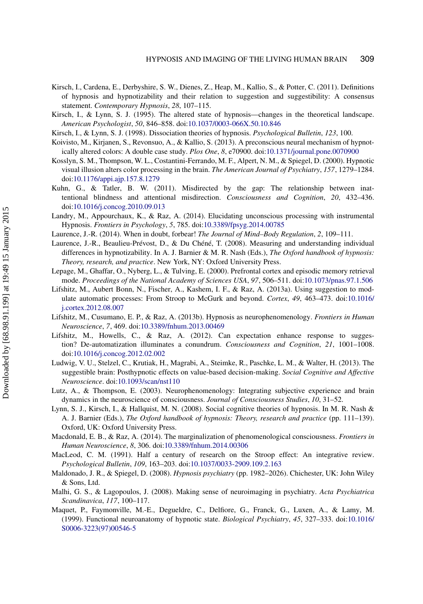- <span id="page-26-7"></span>Kirsch, I., Cardena, E., Derbyshire, S. W., Dienes, Z., Heap, M., Kallio, S., & Potter, C. (2011). Definitions of hypnosis and hypnotizability and their relation to suggestion and suggestibility: A consensus statement. *Contemporary Hypnosis*, *28*, 107–115.
- <span id="page-26-13"></span>Kirsch, I., & Lynn, S. J. (1995). The altered state of hypnosis—changes in the theoretical landscape. *American Psychologist*, *50*, 846–858. doi[:10.1037/0003-066X.50.10.846](http://dx.doi.org/10.1037/0003-066X.50.10.846)
- <span id="page-26-12"></span>Kirsch, I., & Lynn, S. J. (1998). Dissociation theories of hypnosis. *Psychological Bulletin*, *123*, 100.
- <span id="page-26-15"></span>Koivisto, M., Kirjanen, S., Revonsuo, A., & Kallio, S. (2013). A preconscious neural mechanism of hypnotically altered colors: A double case study. *Plos One*, *8*, e70900. doi[:10.1371/journal.pone.0070900](http://dx.doi.org/10.1371/journal.pone.0070900)
- <span id="page-26-1"></span>Kosslyn, S. M., Thompson, W. L., Costantini-Ferrando, M. F., Alpert, N. M., & Spiegel, D. (2000). Hypnotic visual illusion alters color processing in the brain. *The American Journal of Psychiatry*, *157*, 1279–1284. doi[:10.1176/appi.ajp.157.8.1279](http://dx.doi.org/10.1176/appi.ajp.157.8.1279)
- <span id="page-26-10"></span>Kuhn, G., & Tatler, B. W. (2011). Misdirected by the gap: The relationship between inattentional blindness and attentional misdirection. *Consciousness and Cognition*, *20*, 432–436. doi[:10.1016/j.concog.2010.09.013](http://dx.doi.org/10.1016/j.concog.2010.09.013)
- <span id="page-26-9"></span>Landry, M., Appourchaux, K., & Raz, A. (2014). Elucidating unconscious processing with instrumental Hypnosis. *Frontiers in Psychology*, *5*, 785. doi[:10.3389/fpsyg.2014.00785](http://dx.doi.org/10.3389/fpsyg.2014.00785)
- <span id="page-26-6"></span>Laurence, J.-R. (2014). When in doubt, forbear! *The Journal of Mind–Body Regulation*, *2*, 109–111.
- <span id="page-26-5"></span>Laurence, J.-R., Beaulieu-Prévost, D., & Du Chéné, T. (2008). Measuring and understanding individual differences in hypnotizability. In A. J. Barnier & M. R. Nash (Eds.), *The Oxford handbook of hypnosis: Theory, research, and practice*. New York, NY: Oxford University Press.
- <span id="page-26-16"></span>Lepage, M., Ghaffar, O., Nyberg, L., & Tulving, E. (2000). Prefrontal cortex and episodic memory retrieval mode. *Proceedings of the National Academy of Sciences USA*, *97*, 506–511. doi[:10.1073/pnas.97.1.506](http://dx.doi.org/10.1073/pnas.97.1.506)
- <span id="page-26-11"></span>Lifshitz, M., Aubert Bonn, N., Fischer, A., Kashem, I. F., & Raz, A. (2013a). Using suggestion to modulate automatic processes: From Stroop to McGurk and beyond. *Cortex*, *49*, 463–473. doi:[10.1016/](http://dx.doi.org/10.1016/j.cortex.2012.08.007) [j.cortex.2012.08.007](http://dx.doi.org/10.1016/j.cortex.2012.08.007)
- <span id="page-26-19"></span>Lifshitz, M., Cusumano, E. P., & Raz, A. (2013b). Hypnosis as neurophenomenology. *Frontiers in Human Neuroscience*, *7*, 469. doi[:10.3389/fnhum.2013.00469](http://dx.doi.org/10.3389/fnhum.2013.00469)
- <span id="page-26-17"></span>Lifshitz, M., Howells, C., & Raz, A. (2012). Can expectation enhance response to suggestion? De-automatization illuminates a conundrum. *Consciousness and Cognition*, *21*, 1001–1008. doi[:10.1016/j.concog.2012.02.002](http://dx.doi.org/10.1016/j.concog.2012.02.002)
- <span id="page-26-2"></span>Ludwig, V. U., Stelzel, C., Krutiak, H., Magrabi, A., Steimke, R., Paschke, L. M., & Walter, H. (2013). The suggestible brain: Posthypnotic effects on value-based decision-making. *Social Cognitive and Affective Neuroscience*. doi[:10.1093/scan/nst110](http://dx.doi.org/10.1093/scan/nst110)
- <span id="page-26-18"></span>Lutz, A., & Thompson, E. (2003). Neurophenomenology: Integrating subjective experience and brain dynamics in the neuroscience of consciousness. *Journal of Consciousness Studies*, *10*, 31–52.
- <span id="page-26-14"></span>Lynn, S. J., Kirsch, I., & Hallquist, M. N. (2008). Social cognitive theories of hypnosis. In M. R. Nash & A. J. Barnier (Eds.), *The Oxford handbook of hypnosis: Theory, research and practice* (pp. 111–139). Oxford, UK: Oxford University Press.
- <span id="page-26-4"></span>Macdonald, E. B., & Raz, A. (2014). The marginalization of phenomenological consciousness. *Frontiers in Human Neuroscience*, *8*, 306. doi[:10.3389/fnhum.2014.00306](http://dx.doi.org/10.3389/fnhum.2014.00306)
- <span id="page-26-8"></span>MacLeod, C. M. (1991). Half a century of research on the Stroop effect: An integrative review. *Psychological Bulletin*, *109*, 163–203. doi[:10.1037/0033-2909.109.2.163](http://dx.doi.org/10.1037/0033-2909.109.2.163)
- <span id="page-26-20"></span>Maldonado, J. R., & Spiegel, D. (2008). *Hypnosis psychiatry* (pp. 1982–2026). Chichester, UK: John Wiley & Sons, Ltd.
- <span id="page-26-3"></span>Malhi, G. S., & Lagopoulos, J. (2008). Making sense of neuroimaging in psychiatry. *Acta Psychiatrica Scandinavica*, *117*, 100–117.
- <span id="page-26-0"></span>Maquet, P., Faymonville, M.-E., Degueldre, C., Delfiore, G., Franck, G., Luxen, A., & Lamy, M. (1999). Functional neuroanatomy of hypnotic state. *Biological Psychiatry*, *45*, 327–333. doi:[10.1016/](http://dx.doi.org/10.1016/S0006-3223(97)00546-5) [S0006-3223\(97\)00546-5](http://dx.doi.org/10.1016/S0006-3223(97)00546-5)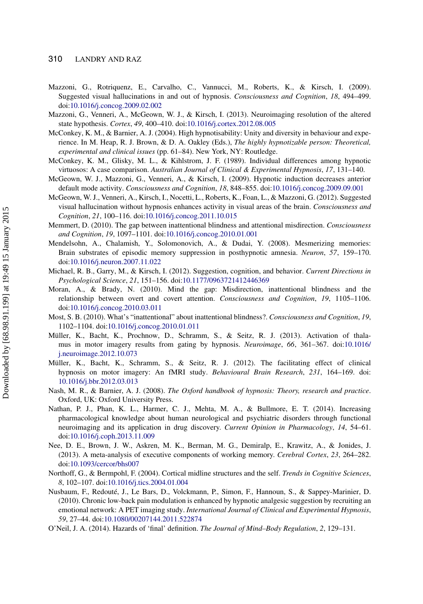#### 310 LANDRY AND RAZ

- <span id="page-27-17"></span>Mazzoni, G., Rotriquenz, E., Carvalho, C., Vannucci, M., Roberts, K., & Kirsch, I. (2009). Suggested visual hallucinations in and out of hypnosis. *Consciousness and Cognition*, *18*, 494–499. doi[:10.1016/j.concog.2009.02.002](http://dx.doi.org/10.1016/j.concog.2009.02.002)
- <span id="page-27-7"></span>Mazzoni, G., Venneri, A., McGeown, W. J., & Kirsch, I. (2013). Neuroimaging resolution of the altered state hypothesis. *Cortex*, *49*, 400–410. doi[:10.1016/j.cortex.2012.08.005](http://dx.doi.org/10.1016/j.cortex.2012.08.005)
- <span id="page-27-9"></span>McConkey, K. M., & Barnier, A. J. (2004). High hypnotisability: Unity and diversity in behaviour and experience. In M. Heap, R. J. Brown, & D. A. Oakley (Eds.), *The highly hypnotizable person: Theoretical, experimental and clinical issues* (pp. 61–84). New York, NY: Routledge.
- <span id="page-27-10"></span>McConkey, K. M., Glisky, M. L., & Kihlstrom, J. F. (1989). Individual differences among hypnotic virtuosos: A case comparison. *Australian Journal of Clinical & Experimental Hypnosis*, *17*, 131–140.
- <span id="page-27-0"></span>McGeown, W. J., Mazzoni, G., Venneri, A., & Kirsch, I. (2009). Hypnotic induction decreases anterior default mode activity. *Consciousness and Cognition*, *18*, 848–855. doi[:10.1016/j.concog.2009.09.001](http://dx.doi.org/10.1016/j.concog.2009.09.001)
- <span id="page-27-4"></span>McGeown, W. J., Venneri, A., Kirsch, I., Nocetti, L., Roberts, K., Foan, L., & Mazzoni, G. (2012). Suggested visual hallucination without hypnosis enhances activity in visual areas of the brain. *Consciousness and Cognition*, *21*, 100–116. doi[:10.1016/j.concog.2011.10.015](http://dx.doi.org/10.1016/j.concog.2011.10.015)
- <span id="page-27-13"></span>Memmert, D. (2010). The gap between inattentional blindness and attentional misdirection. *Consciousness and Cognition*, *19*, 1097–1101. doi[:10.1016/j.concog.2010.01.001](http://dx.doi.org/10.1016/j.concog.2010.01.001)
- <span id="page-27-5"></span>Mendelsohn, A., Chalamish, Y., Solomonovich, A., & Dudai, Y. (2008). Mesmerizing memories: Brain substrates of episodic memory suppression in posthypnotic amnesia. *Neuron*, *57*, 159–170. doi[:10.1016/j.neuron.2007.11.022](http://dx.doi.org/10.1016/j.neuron.2007.11.022)
- <span id="page-27-16"></span>Michael, R. B., Garry, M., & Kirsch, I. (2012). Suggestion, cognition, and behavior. *Current Directions in Psychological Science*, *21*, 151–156. doi[:10.1177/0963721412446369](http://dx.doi.org/10.1177/0963721412446369)
- <span id="page-27-14"></span>Moran, A., & Brady, N. (2010). Mind the gap: Misdirection, inattentional blindness and the relationship between overt and covert attention. *Consciousness and Cognition*, *19*, 1105–1106. doi[:10.1016/j.concog.2010.03.011](http://dx.doi.org/10.1016/j.concog.2010.03.011)
- <span id="page-27-15"></span>Most, S. B. (2010). What's "inattentional" about inattentional blindness?. *Consciousness and Cognition*, *19*, 1102–1104. doi[:10.1016/j.concog.2010.01.011](http://dx.doi.org/10.1016/j.concog.2010.01.011)
- <span id="page-27-2"></span>Müller, K., Bacht, K., Prochnow, D., Schramm, S., & Seitz, R. J. (2013). Activation of thalamus in motor imagery results from gating by hypnosis. *Neuroimage*, *66*, 361–367. doi:[10.1016/](http://dx.doi.org/10.1016/j.neuroimage.2012.10.073) [j.neuroimage.2012.10.073](http://dx.doi.org/10.1016/j.neuroimage.2012.10.073)
- <span id="page-27-1"></span>Müller, K., Bacht, K., Schramm, S., & Seitz, R. J. (2012). The facilitating effect of clinical hypnosis on motor imagery: An fMRI study. *Behavioural Brain Research*, *231*, 164–169. doi: [10.1016/j.bbr.2012.03.013](http://dx.doi.org/10.1016/j.bbr.2012.03.013)
- <span id="page-27-8"></span>Nash, M. R., & Barnier, A. J. (2008). *The Oxford handbook of hypnosis: Theory, research and practice*. Oxford, UK: Oxford University Press.
- <span id="page-27-6"></span>Nathan, P. J., Phan, K. L., Harmer, C. J., Mehta, M. A., & Bullmore, E. T. (2014). Increasing pharmacological knowledge about human neurological and psychiatric disorders through functional neuroimaging and its application in drug discovery. *Current Opinion in Pharmacology*, *14*, 54–61. doi[:10.1016/j.coph.2013.11.009](http://dx.doi.org/10.1016/j.coph.2013.11.009)
- <span id="page-27-12"></span>Nee, D. E., Brown, J. W., Askren, M. K., Berman, M. G., Demiralp, E., Krawitz, A., & Jonides, J. (2013). A meta-analysis of executive components of working memory. *Cerebral Cortex*, *23*, 264–282. doi[:10.1093/cercor/bhs007](http://dx.doi.org/10.1093/cercor/bhs007)
- <span id="page-27-18"></span>Northoff, G., & Bermpohl, F. (2004). Cortical midline structures and the self. *Trends in Cognitive Sciences*, *8*, 102–107. doi[:10.1016/j.tics.2004.01.004](http://dx.doi.org/10.1016/j.tics.2004.01.004)
- <span id="page-27-3"></span>Nusbaum, F., Redouté, J., Le Bars, D., Volckmann, P., Simon, F., Hannoun, S., & Sappey-Marinier, D. (2010). Chronic low-back pain modulation is enhanced by hypnotic analgesic suggestion by recruiting an emotional network: A PET imaging study. *International Journal of Clinical and Experimental Hypnosis*, *59*, 27–44. doi[:10.1080/00207144.2011.522874](http://dx.doi.org/10.1080/00207144.2011.522874)
- <span id="page-27-11"></span>O'Neil, J. A. (2014). Hazards of 'final' definition. *The Journal of Mind–Body Regulation*, *2*, 129–131.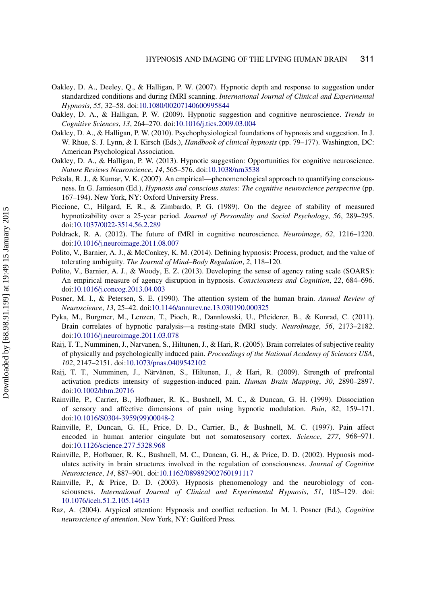- <span id="page-28-8"></span>Oakley, D. A., Deeley, Q., & Halligan, P. W. (2007). Hypnotic depth and response to suggestion under standardized conditions and during fMRI scanning. *International Journal of Clinical and Experimental Hypnosis*, *55*, 32–58. doi[:10.1080/00207140600995844](http://dx.doi.org/10.1080/00207140600995844)
- <span id="page-28-0"></span>Oakley, D. A., & Halligan, P. W. (2009). Hypnotic suggestion and cognitive neuroscience. *Trends in Cognitive Sciences*, *13*, 264–270. doi[:10.1016/j.tics.2009.03.004](http://dx.doi.org/10.1016/j.tics.2009.03.004)
- <span id="page-28-11"></span>Oakley, D. A., & Halligan, P. W. (2010). Psychophysiological foundations of hypnosis and suggestion. In J. W. Rhue, S. J. Lynn, & I. Kirsch (Eds.), *Handbook of clinical hypnosis* (pp. 79–177). Washington, DC: American Psychological Association.
- <span id="page-28-1"></span>Oakley, D. A., & Halligan, P. W. (2013). Hypnotic suggestion: Opportunities for cognitive neuroscience. *Nature Reviews Neuroscience*, *14*, 565–576. doi[:10.1038/nrn3538](http://dx.doi.org/10.1038/nrn3538)
- <span id="page-28-15"></span>Pekala, R. J., & Kumar, V. K. (2007). An empirical—phenomenological approach to quantifying consciousness. In G. Jamieson (Ed.), *Hypnosis and conscious states: The cognitive neuroscience perspective* (pp. 167–194). New York, NY: Oxford University Press.
- <span id="page-28-10"></span>Piccione, C., Hilgard, E. R., & Zimbardo, P. G. (1989). On the degree of stability of measured hypnotizability over a 25-year period. *Journal of Personality and Social Psychology*, *56*, 289–295. doi[:10.1037/0022-3514.56.2.289](http://dx.doi.org/10.1037/0022-3514.56.2.289)
- <span id="page-28-9"></span>Poldrack, R. A. (2012). The future of fMRI in cognitive neuroscience. *Neuroimage*, *62*, 1216–1220. doi[:10.1016/j.neuroimage.2011.08.007](http://dx.doi.org/10.1016/j.neuroimage.2011.08.007)
- <span id="page-28-12"></span>Polito, V., Barnier, A. J., & McConkey, K. M. (2014). Defining hypnosis: Process, product, and the value of tolerating ambiguity. *The Journal of Mind–Body Regulation*, *2*, 118–120.
- <span id="page-28-16"></span>Polito, V., Barnier, A. J., & Woody, E. Z. (2013). Developing the sense of agency rating scale (SOARS): An empirical measure of agency disruption in hypnosis. *Consciousness and Cognition*, *22*, 684–696. doi[:10.1016/j.concog.2013.04.003](http://dx.doi.org/10.1016/j.concog.2013.04.003)
- <span id="page-28-14"></span>Posner, M. I., & Petersen, S. E. (1990). The attention system of the human brain. *Annual Review of Neuroscience*, *13*, 25–42. doi[:10.1146/annurev.ne.13.030190.000325](http://dx.doi.org/10.1146/annurev.ne.13.030190.000325)
- <span id="page-28-7"></span>Pyka, M., Burgmer, M., Lenzen, T., Pioch, R., Dannlowski, U., Pfleiderer, B., & Konrad, C. (2011). Brain correlates of hypnotic paralysis—a resting-state fMRI study. *NeuroImage*, *56*, 2173–2182. doi[:10.1016/j.neuroimage.2011.03.078](http://dx.doi.org/10.1016/j.neuroimage.2011.03.078)
- <span id="page-28-5"></span>Raij, T. T., Numminen, J., Narvanen, S., Hiltunen, J., & Hari, R. (2005). Brain correlates of subjective reality of physically and psychologically induced pain. *Proceedings of the National Academy of Sciences USA*, *102*, 2147–2151. doi[:10.1073/pnas.0409542102](http://dx.doi.org/10.1073/pnas.0409542102)
- <span id="page-28-6"></span>Raij, T. T., Numminen, J., Närvänen, S., Hiltunen, J., & Hari, R. (2009). Strength of prefrontal activation predicts intensity of suggestion-induced pain. *Human Brain Mapping*, *30*, 2890–2897. doi[:10.1002/hbm.20716](http://dx.doi.org/10.1002/hbm.20716)
- <span id="page-28-4"></span>Rainville, P., Carrier, B., Hofbauer, R. K., Bushnell, M. C., & Duncan, G. H. (1999). Dissociation of sensory and affective dimensions of pain using hypnotic modulation. *Pain*, *82*, 159–171. doi[:10.1016/S0304-3959\(99\)00048-2](http://dx.doi.org/10.1016/S0304-3959(99)00048-2)
- <span id="page-28-3"></span>Rainville, P., Duncan, G. H., Price, D. D., Carrier, B., & Bushnell, M. C. (1997). Pain affect encoded in human anterior cingulate but not somatosensory cortex. *Science*, *277*, 968–971. doi[:10.1126/science.277.5328.968](http://dx.doi.org/10.1126/science.277.5328.968)
- <span id="page-28-2"></span>Rainville, P., Hofbauer, R. K., Bushnell, M. C., Duncan, G. H., & Price, D. D. (2002). Hypnosis modulates activity in brain structures involved in the regulation of consciousness. *Journal of Cognitive Neuroscience*, *14*, 887–901. doi[:10.1162/089892902760191117](http://dx.doi.org/10.1162/089892902760191117)
- <span id="page-28-13"></span>Rainville, P., & Price, D. D. (2003). Hypnosis phenomenology and the neurobiology of consciousness. *International Journal of Clinical and Experimental Hypnosis*, *51*, 105–129. doi: [10.1076/iceh.51.2.105.14613](http://dx.doi.org/10.1076/iceh.51.2.105.14613)
- <span id="page-28-17"></span>Raz, A. (2004). Atypical attention: Hypnosis and conflict reduction. In M. I. Posner (Ed.), *Cognitive neuroscience of attention*. New York, NY: Guilford Press.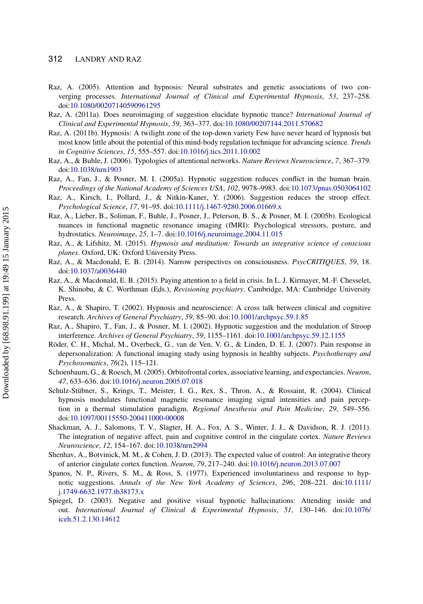#### 312 LANDRY AND RAZ

- <span id="page-29-2"></span>Raz, A. (2005). Attention and hypnosis: Neural substrates and genetic associations of two converging processes. *International Journal of Clinical and Experimental Hypnosis*, *53*, 237–258. doi[:10.1080/00207140590961295](http://dx.doi.org/10.1080/00207140590961295)
- <span id="page-29-7"></span>Raz, A. (2011a). Does neuroimaging of suggestion elucidate hypnotic trance? *International Journal of Clinical and Experimental Hypnosis*, *59*, 363–377. doi[:10.1080/00207144.2011.570682](http://dx.doi.org/10.1080/00207144.2011.570682)
- <span id="page-29-9"></span>Raz, A. (2011b). Hypnosis: A twilight zone of the top-down variety Few have never heard of hypnosis but most know little about the potential of this mind-body regulation technique for advancing science. *Trends in Cognitive Sciences*, *15*, 555–557. doi[:10.1016/j.tics.2011.10.002](http://dx.doi.org/10.1016/j.tics.2011.10.002)
- <span id="page-29-8"></span>Raz, A., & Buhle, J. (2006). Typologies of attentional networks. *Nature Reviews Neuroscience*, *7*, 367–379. doi[:10.1038/nrn1903](http://dx.doi.org/10.1038/nrn1903)
- <span id="page-29-6"></span>Raz, A., Fan, J., & Posner, M. I. (2005a). Hypnotic suggestion reduces conflict in the human brain. *Proceedings of the National Academy of Sciences USA*, *102*, 9978–9983. doi[:10.1073/pnas.0503064102](http://dx.doi.org/10.1073/pnas.0503064102)
- <span id="page-29-12"></span>Raz, A., Kirsch, I., Pollard, J., & Nitkin-Kaner, Y. (2006). Suggestion reduces the stroop effect. *Psychological Science*, *17*, 91–95. doi[:10.1111/j.1467-9280.2006.01669.x](http://dx.doi.org/10.1111/j.1467-9280.2006.01669.x)
- Raz, A., Lieber, B., Soliman, F., Buhle, J., Posner, J., Peterson, B. S., & Posner, M. I. (2005b). Ecological nuances in functional magnetic resonance imaging (fMRI): Psychological stressors, posture, and hydrostatics. *Neuroimage*, *25*, 1–7. doi[:10.1016/j.neuroimage.2004.11.015](http://dx.doi.org/10.1016/j.neuroimage.2004.11.015)
- <span id="page-29-5"></span>Raz, A., & Lifshitz, M. (2015). *Hypnosis and meditation: Towards an integrative science of conscious planes*. Oxford, UK: Oxford University Press.
- <span id="page-29-4"></span>Raz, A., & Macdonald, E. B. (2014). Narrow perspectives on consciousness. *PsycCRITIQUES*, *59*, 18. doi[:10.1037/a0036440](http://dx.doi.org/10.1037/a0036440)
- Raz, A., & Macdonald, E. B. (2015). Paying attention to a field in crisis. In L. J. Kirmayer, M.-F. Chesselet, K. Shinobu, & C. Worthman (Eds.), *Revisioning psychiatry*. Cambridge, MA: Cambridge University Press.
- <span id="page-29-0"></span>Raz, A., & Shapiro, T. (2002). Hypnosis and neuroscience: A cross talk between clinical and cognitive research. *Archives of General Psychiatry*, *59*, 85–90. doi[:10.1001/archpsyc.59.1.85](http://dx.doi.org/10.1001/archpsyc.59.1.85)
- <span id="page-29-13"></span>Raz, A., Shapiro, T., Fan, J., & Posner, M. I. (2002). Hypnotic suggestion and the modulation of Stroop interference. *Archives of General Psychiatry*, *59*, 1155–1161. doi[:10.1001/archpsyc.59.12.1155](http://dx.doi.org/10.1001/archpsyc.59.12.1155)
- <span id="page-29-3"></span>Röder, C. H., Michal, M., Overbeck, G., van de Ven, V. G., & Linden, D. E. J. (2007). Pain response in depersonalization: A functional imaging study using hypnosis in healthy subjects. *Psychotherapy and Psychosomatics*, *76*(2), 115–121.
- <span id="page-29-16"></span>Schoenbaum, G., & Roesch, M. (2005). Orbitofrontal cortex, associative learning, and expectancies. *Neuron*, *47*, 633–636. doi[:10.1016/j.neuron.2005.07.018](http://dx.doi.org/10.1016/j.neuron.2005.07.018)
- <span id="page-29-1"></span>Schulz-Stübner, S., Krings, T., Meister, I. G., Rex, S., Thron, A., & Rossaint, R. (2004). Clinical hypnosis modulates functional magnetic resonance imaging signal intensities and pain perception in a thermal stimulation paradigm. *Regional Anesthesia and Pain Medicine*, *29*, 549–556. doi[:10.1097/00115550-200411000-00008](http://dx.doi.org/10.1097/00115550-200411000-00008)
- <span id="page-29-11"></span>Shackman, A. J., Salomons, T. V., Slagter, H. A., Fox, A. S., Winter, J. J., & Davidson, R. J. (2011). The integration of negative affect, pain and cognitive control in the cingulate cortex. *Nature Reviews Neuroscience*, *12*, 154–167. doi[:10.1038/nrn2994](http://dx.doi.org/10.1038/nrn2994)
- <span id="page-29-10"></span>Shenhav, A., Botvinick, M. M., & Cohen, J. D. (2013). The expected value of control: An integrative theory of anterior cingulate cortex function. *Neuron*, *79*, 217–240. doi[:10.1016/j.neuron.2013.07.007](http://dx.doi.org/10.1016/j.neuron.2013.07.007)
- <span id="page-29-14"></span>Spanos, N. P., Rivers, S. M., & Ross, S. (1977). Experienced involuntariness and response to hypnotic suggestions. *Annals of the New York Academy of Sciences*, *296*, 208–221. doi:[10.1111/](http://dx.doi.org/10.1111/j.1749-6632.1977.tb38173.x) [j.1749-6632.1977.tb38173.x](http://dx.doi.org/10.1111/j.1749-6632.1977.tb38173.x)
- <span id="page-29-15"></span>Spiegel, D. (2003). Negative and positive visual hypnotic hallucinations: Attending inside and out. *International [Journal of Clinical & Experimental Hypnosis](http://dx.doi.org/10.1076/\gdef yes{no}\penalty \z@ \gdef \ {\penalty \z@ }\gdef no{no}\gdef yes{yes}\gdef \ \gdef \ {\ }\gdef no{no}\gdef yes{yes}{\penalty \z@ \gdef \ {\penalty \z@ }\gdef no{no}\gdef yes{yes}}iceh.51.2.130.14612)*, *51*, 130–146. doi:[10.1076/](http://dx.doi.org/10.1076/iceh.51.2.130.14612) [iceh.51.2.130.14612](http://dx.doi.org/10.1076/iceh.51.2.130.14612)